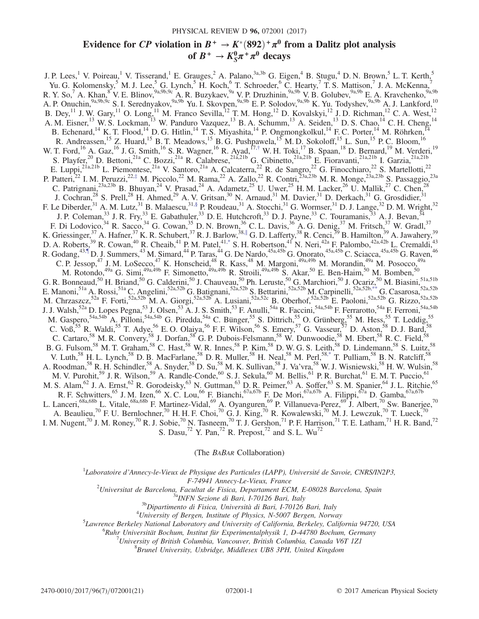# Evidence for *CP* violation in  $B^+ \to K^*(892)^+ \pi^0$  from a Dalitz plot analysis of  $B^+ \to K^0_S \pi^+ \pi^0$  decays of  $B^+ \to K_S^0 \pi^+ \pi^0$  decays

<span id="page-0-5"></span><span id="page-0-4"></span><span id="page-0-3"></span><span id="page-0-2"></span><span id="page-0-1"></span>J. P. Lees,<sup>1</sup> V. Poireau,<sup>1</sup> V. Tisserand,<sup>1</sup> E. Grauges,<sup>2</sup> A. Palano,<sup>3a,3b</sup> G. Eigen,<sup>4</sup> B. Stugu,<sup>4</sup> D. N. Brown,<sup>5</sup> L. T. Kerth,<sup>5</sup> Yu. G. Kolomensky,<sup>5</sup> M. J. Lee,<sup>5</sup> G. Lynch,<sup>5</sup> H. Koch,<sup>6</sup> T. Schroeder,<sup>6</sup> C. Hearty,<sup>7</sup> T. S. Mattison,<sup>7</sup> J. A. McKenna,<sup>7</sup> R. Y. So,<sup>7</sup> A. Khan,<sup>8</sup> V. E. Blinov,<sup>9a,9b,9c</sup> A. R. Buzykaev,<sup>9a</sup> V. P. Druzhinin,<sup>9a,9b</sup> V. B. Golubev,<sup>9a,9b</sup> E. A. Kravchenko,<sup>9a,9b</sup> A. P. Onuchin,<sup>9a,9b,9c</sup> S. I. Serednyakov,<sup>9a,9b</sup> Yu. I. Skovpen,<sup>9a,9b</sup> E. P. Solodov,<sup>9a,9b</sup> K. Yu. Todyshev,<sup>9a,9b</sup> A. J. Lankford,<sup>10</sup> B. Dey,<sup>11</sup> J. W. Gary,<sup>11</sup> O. Long,<sup>11</sup> M. Franco Sevilla,<sup>12</sup> T. M. Hong,<sup>12</sup> D. Kovalskyi,<sup>12</sup> J. D. Richman,<sup>12</sup> C. A. West,<sup>12</sup> A. M. Eisner,<sup>13</sup> W. S. Lockman,<sup>13</sup> W. Panduro Vazquez,<sup>13</sup> B. A. Schumm,<sup>13</sup> A. Seiden,<sup>13</sup> D. S. Chao,<sup>14</sup> C. H. Cheng,<sup>14</sup> B. Echenard,<sup>14</sup> K. T. Flood,<sup>14</sup> D. G. Hitlin,<sup>14</sup> T. S. Miyashita,<sup>14</sup> P. Ongmongkolkul,<sup>14</sup> F. C. Porter,<sup>14</sup> M. Röhrken,<sup>14</sup> R. Andreassen,<sup>15</sup> Z. Huard,<sup>15</sup> B. T. Meadows,<sup>15</sup> B. G. Pushpawela,<sup>15</sup> M. D. Sokoloff,<sup>15</sup> L. Sun,<sup>15</sup> P. C. Bloom,<sup>16</sup> W. T. Ford, <sup>16</sup> A. Gaz, <sup>16</sup> J. G. Smith, <sup>16</sup> S. R. Wagner, <sup>16</sup> R. Ayad, <sup>17,[†](#page-2-0)</sup> W. H. Toki, <sup>17</sup> B. Spaan, <sup>18</sup> D. Bernard, <sup>19</sup> M. Verderi, <sup>19</sup> S. Playfer,<sup>20</sup> D. Bettoni,<sup>21a</sup> C. Bozzi,<sup>21a</sup> R. Calabrese,<sup>21a,21b</sup> G. Cibinetto,<sup>21a,21b</sup> E. Fioravanti,<sup>21a,21b</sup> I. Garzia,<sup>21a,21b</sup> E. Luppi,<sup>21a,21b</sup> L. Piemontese,<sup>21a</sup> V. Santoro,<sup>21a</sup> A. Calcaterra,<sup>22</sup> R. de Sangro,<sup>22</sup> G. Finocchiaro,<sup>22</sup> S. Martellotti,<sup>22</sup> P. Patteri,<sup>22</sup> I. M. Peruzzi,<sup>22,[‡](#page-2-1)</sup> M. Piccolo,<sup>22</sup> M. Rama,<sup>22</sup> A. Zallo,<sup>22</sup> R. Contri,<sup>23a,23b</sup> M. R. Monge,<sup>23a,23b</sup> S. Passaggio,<sup>23a</sup> C. Patrignani,<sup>23a,23b</sup> B. Bhuyan,<sup>24</sup> V. Prasad,<sup>24</sup> A. Adametz,<sup>25</sup> U. Uwer,<sup>25</sup> H. M. Lacker,<sup>26</sup> U. Mallik,<sup>27</sup> C. Chen,<sup>28</sup> J. Cochran,<sup>28</sup> S. Prell,<sup>28</sup> H. Ahmed,<sup>29</sup> A. V. Gritsan,<sup>30</sup> N. Arnaud,<sup>31</sup> M. Davier,<sup>31</sup> D. Derkach,<sup>31</sup> G. Grosdidier,<sup>31</sup> F. Le Diberder,  $31$  A. M. Lutz,  $31$  B. Malaescu,  $31$ , § P. Roudeau,  $31$  A. Stocchi,  $31$  G. Wormser,  $31$  D. J. Lange,  $32$  D. M. Wright,  $32$ J. P. Coleman,<sup>33</sup> J. R. Fry,<sup>33</sup> E. Gabathuler,<sup>33</sup> D. E. Hutchcroft,<sup>33</sup> D. J. Payne,<sup>33</sup> C. Touramanis,<sup>33</sup> A. J. Bevan,<sup>34</sup> F. Di Lodovico,<sup>34</sup> R. Sacco,<sup>34</sup> G. Cowan,<sup>35</sup> D. N. Brown,<sup>36</sup> C. L. Davis,<sup>36</sup> A. G. Denig,<sup>37</sup> M. Fritsch,<sup>37</sup> W. Gradl,<sup>37</sup> K. Griessinger,  $37$  A. Hafner,  $37$  K. R. Schubert,  $37$  R. J. Barlow,  $38$ , G. D. Lafferty,  $38$  R. Cenci,  $39$  B. Hamilton,  $39$  A. Jawahery,  $39$ D. A. Roberts,  $^{39}$  R. Cowan,  $^{40}$  R. Cheaib,  $^{41}$  P. M. Patel,  $^{41,*}$  $^{41,*}$  $^{41,*}$  S. H. Robertson,  $^{41}$  N. Neri,  $^{42a}$  F. Palombo,  $^{42a,42b}$  L. Cremaldi,  $^{43}$ R. Godang,<sup>43[,¶](#page-2-5)</sup> D. J. Summers,<sup>43</sup> M. Simard,<sup>44</sup> P. Taras,<sup>44</sup> G. De Nardo,<sup>45a,45b</sup> G. Onorato,<sup>45a,45b</sup> C. Sciacca,<sup>45a,45b</sup> G. Raven,<sup>46</sup> C. P. Jessop,<sup>47</sup> J. M. LoSecco,<sup>47</sup> K. Honscheid,<sup>48</sup> R. Kass,<sup>48</sup> M. Margoni,<sup>49a,49b</sup> M. Morandin,<sup>49a</sup> M. Posocco,<sup>49a</sup> M. Rotondo,<sup>49a</sup> G. Simi,<sup>49a,49b</sup> F. Simonetto,<sup>49a,49b</sup> R. Stroili,<sup>49a,49b</sup> S. Akar,<sup>50</sup> E. Ben-Haim,<sup>50</sup> M. Bomben,<sup>50</sup> G. R. Bonneaud,<sup>50</sup> H. Briand,<sup>50</sup> G. Calderini,<sup>50</sup> J. Chauveau,<sup>50</sup> Ph. Leruste,<sup>50</sup> G. Marchiori,<sup>50</sup> J. Ocariz,<sup>50</sup> M. Biasini,  $\frac{51a,51b}{2}$ E. Manoni,<sup>51a</sup> A. Rossi,<sup>51a</sup> C. Angelini,<sup>52a,52b</sup> G. Batignani,<sup>52a,52b</sup> S. Bettarini,<sup>52a,52b</sup> M. Carpinelli,<sup>52a,52b[,\\*\\*](#page-2-6)</sup> G. Casarosa,<sup>52a,52b</sup> M. Chrzaszcz,<sup>52a</sup> F. Forti,<sup>52a,52b</sup> M. A. Giorgi,<sup>52a,52b</sup> A. Lusiani,<sup>52a,52c</sup> B. Oberhof,<sup>52a,52b</sup> E. Paoloni,<sup>52a,52b</sup> G. Rizzo,<sup>52a,52b</sup> J. J. Walsh,<sup>52a</sup> D. Lopes Pegna,<sup>53</sup> J. Olsen,<sup>53</sup> A. J. S. Smith,<sup>53</sup> F. Anulli,<sup>54a</sup> R. Faccini,<sup>54a,54b</sup> F. Ferrarotto,<sup>54a</sup> F. Ferroni,<sup>54a,54b</sup> M. Gaspero, 54a,54b A. Pilloni, 54a,54b G. Piredda, 54a C. Bünger, 55 S. Dittrich, 55 O. Grünberg, 55 M. Hess, 55 T. Leddig, 55 C. Voß,<sup>55</sup> R. Waldi,<sup>55</sup> T. Adye,<sup>56</sup> E. O. Olaiya,<sup>56</sup> F. F. Wilson,<sup>56</sup> S. Emery,<sup>57</sup> G. Vasseur,  $\frac{57}{7}$  D. Aston,  $\frac{58}{7}$  D. J. Bard,  $\frac{58}{7}$ C. Cartaro,<sup>58</sup> M. R. Convery,<sup>58</sup> J. Dorfan,<sup>58</sup> G. P. Dubois-Felsmann,<sup>58</sup> W. Dunwoodie,<sup>58</sup> M. Ebert,<sup>58</sup> R. C. Field,<sup>58</sup> B. G. Fulsom,<sup>58</sup> M. T. Graham,<sup>58</sup> C. Hast,<sup>58</sup> W. R. Innes,<sup>58</sup> P. Kim,<sup>58</sup> D. W. G. S. Leith,<sup>58</sup> D. Lindemann,<sup>58</sup> S. Luitz,<sup>58</sup> V. Luth,<sup>58</sup> H. L. Lynch,<sup>58</sup> D. B. MacFarlane,<sup>58</sup> D. R. Muller,<sup>58</sup> H. Neal,<sup>58</sup> M. Perl,<sup>5[8,\\*](#page-2-4)</sup> T. Pulliam,<sup>58</sup> B. N. Ratcliff,<sup>58</sup> A. Roodman,<sup>58</sup> R. H. Schindler,<sup>58</sup> A. Snyder,<sup>58</sup> D. Su,<sup>58</sup> M. K. Sullivan,<sup>58</sup> J. Va'vra,<sup>58</sup> W. J. Wisniewski,<sup>58</sup> H. W. Wulsin,<sup>58</sup> M. V. Purohit,<sup>59</sup> J. R. Wilson,<sup>59</sup> A. Randle-Conde,<sup>60</sup> S. J. Sekula,<sup>60</sup> M. Bellis,<sup>61</sup> P. R. Burchat,<sup>61</sup> E. M. T. Puccio,<sup>61</sup> M. S. Alam, <sup>62</sup> J. A. Ernst, <sup>62</sup> R. Gorodeisky, <sup>63</sup> N. Guttman, <sup>63</sup> D. R. Peimer, <sup>63</sup> A. Soffer, <sup>63</sup> S. M. Spanier, <sup>64</sup> J. L. Ritchie, <sup>65</sup> R. F. Schwitters,<sup>65</sup> J. M. Izen,<sup>66</sup> X. C. Lou,<sup>66</sup> F. Bianchi,<sup>67a,67b</sup> F. De Mori,<sup>67a,67b</sup> A. Filippi,<sup>67a</sup> D. Gamba,<sup>67a,67b</sup> L. Lanceri,<sup>68a,68b</sup> L. Vitale,<sup>68a,68b</sup> F. Martinez-Vidal,<sup>69</sup> A. Oyanguren,<sup>69</sup> P. Villanueva-Perez,<sup>69</sup> J. Albert,<sup>70</sup> Sw. Banerjee,<sup>70</sup> A. Beaulieu,<sup>70</sup> F. U. Bernlochner,<sup>70</sup> H. H. F. Choi,<sup>70</sup> G. J. King,<sup>70</sup> R. Kowalewski,<sup>70</sup> M. J. Lewczuk,<sup>70</sup> T. Lueck,<sup>70</sup> I. M. Nugent,<sup>70</sup> J. M. Roney,<sup>70</sup> R. J. Sobie,<sup>70</sup> N. Tasneem,<sup>70</sup> T. J. Gershon,<sup>71</sup> P. F. Harrison,<sup>71</sup> T. E. Latham,<sup>71</sup> H. R. Band,<sup>72</sup> S. Dasu,<sup>72</sup> Y. Pan,<sup>72</sup> R. Prepost,<sup>72</sup> and S. L. Wu<sup>72</sup>

(The BABAR Collaboration)

<span id="page-0-6"></span><span id="page-0-0"></span> ${}^{1}$ Laboratoire d'Annecy-le-Vieux de Physique des Particules (LAPP), Université de Savoie, CNRS/IN2P3,

F-74941 Annecy-Le-Vieux, France<br><sup>2</sup>Universitat de Bancelona, Frankat de Fisica, Departament EC Universitat de Barcelona, Facultat de Fisica, Departament ECM, E-08028 Barcelona, Spain<br><sup>3a</sup>INFN Sezione di Bari, I-70126 Bari, Italy<br><sup>3b</sup>Dipartimento di Fisica, Università di Bari, I-70126 Bari, Italy<br><sup>4</sup>University of Ba

- 
- $^{4}$ University of Bergen, Institute of Physics, N-5007 Bergen, Norway

<sup>5</sup>Lawrence Berkeley National Laboratory and University of California, Berkeley, California 94720, USA

 ${}^{6}$ Ruhr Universität Bochum, Institut für Experimentalphysik 1, D-44780 Bochum, Germany

University of British Columbia, Vancouver, British Columbia, Canada V6T 1Z1

 ${}^{8}$ Brunel University, Uxbridge, Middlesex UB8 3PH, United Kingdom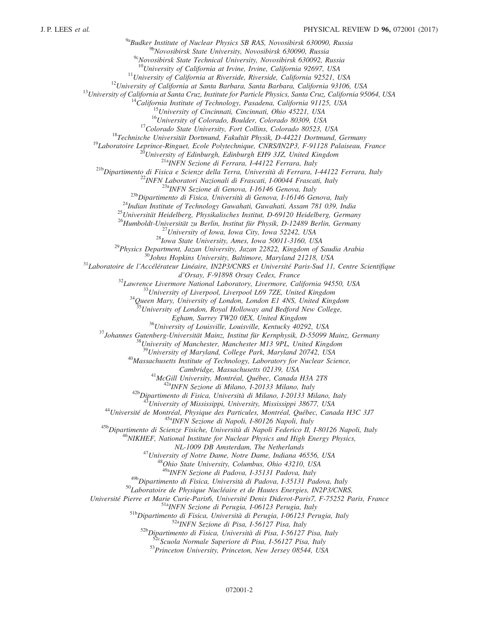<sup>9a</sup>Budker Institute of Nuclear Physics SB RAS, Novosibirsk 630090, Russia<br><sup>9b</sup>Novosibirsk State University, Novosibirsk 630090, Russia

<sup>9c</sup>Novosibirsk State Technical University, Novosibirsk 630092, Russia<br><sup>10</sup>University of California at Irvine, Irvine, California 92697, USA

<sup>10</sup>University of California at Irvine, California 92697, USA<br>
<sup>11</sup>University of California at Riverside, Riverside, California 92521, USA<br>
<sup>12</sup>University of California at Santa Cruz, Institute for Particle Physics, Santa

<sup>25</sup>Universität Heidelberg, Physikalisches Institut, D-69120 Heidelberg, Germany<br><sup>26</sup>Humboldt-Universität zu Berlin, Institut für Physik, D-12489 Berlin, Germany<br><sup>27</sup>University of Iowa, Iowa City, Iowa 52242, USA<br><sup>28</sup>Iowa

 $d'Orsay$ , F-91898 Orsay Cedex, France<br><sup>32</sup> Lawrence Livermore National Laboratory, Livermore, California 94550, USA<br><sup>33</sup> University of Liverpool, Liverpool L69 7ZE, United Kingdom<br><sup>34</sup> Oueen Mary, University of London, Lond

 $^{35}$ University of London, Royal Holloway and Bedford New College,<br>Egham, Surrey TW20 0EX, United Kingdom

<sup>36</sup> University of Louisville, Louisville, Kentucky 40292, USA<br><sup>37</sup> Johannes Gutenberg-Universität Mainz, Institut für Kernphysik, D-55099 Mainz, Germany<br><sup>38</sup> University of Manchester, Manchester M13 9PL, United Kingdom<br><sup></sup>

 $^{40}$ Massachusetts Institute of Technology, Laboratory for Nuclear Science,

Cambridge, Massachusetts 02139, USA<br>
<sup>41</sup>McGill University, Montréal, Québec, Canada H3A 2T8<br>
<sup>42a</sup>INFN Sezione di Milano, I-20133 Milano, Italy<br>
<sup>42b</sup>Dipartimento di Fisica, Università di Milano, I-20133 Milano, Italy<br>
<sup>4</sup>

<sup>44</sup>Université de Montréal, Physique des Particules, Montréal, Québec, Canada H3C 3J7<br><sup>45a</sup>INFN Sezione di Napoli, I-80126 Napoli, Italy<br><sup>45b</sup>Dipartimento di Scienze Fisiche, Università di Napoli Federico II, I-80126 Napo

NL-1009 DB Amsterdam, The Netherlands<br><sup>47</sup>University of Notre Dame, Notre Dame, Indiana 46556, USA<br><sup>48</sup>Ohio State University, Columbus, Ohio 43210, USA

<sup>49a</sup>INFN Sezione di Padova, I-35131 Padova, Italy<br><sup>49b</sup>Dipartimento di Fisica, Università di Padova, I-35131 Padova, Italy

 $^{50}$ Laboratoire de Physique Nucléaire et de Hautes Energies, IN2P3/CNRS,

Université Pierre et Marie Curie-Paris6, Université Denis Diderot-Paris7, F-75252 Paris, France<br><sup>51a</sup>INFN Sezione di Perugia, I-06123 Perugia, Italy<br><sup>51b</sup>Dipartimento di Fisica, Università di Perugia, I-06123 Perugia, Ita

53 Princeton University, Princeton, New Jersey 08544, USA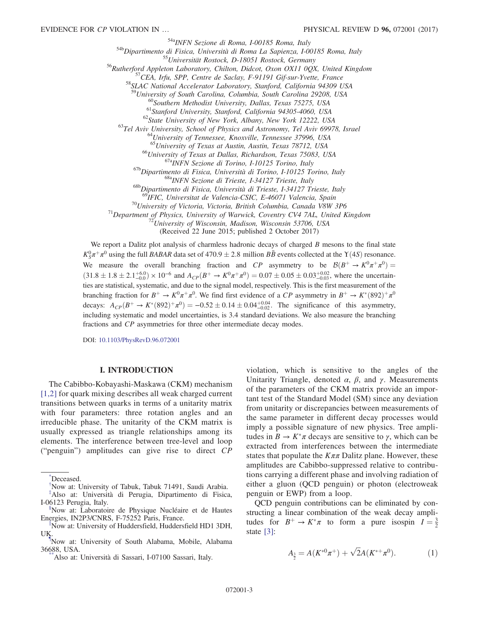$548$ Dipartimento di Fisica, Università di Roma, I-00185 Roma, Italy<br>  $548$ Dipartimento di Fisica, Università di Roma La Sapienza, I-00185 Roma, Italy<br>  $55$ Universität Rostock, D-18051 Rostock, Germany<br>  $56$ Rutherford App

<sup>60</sup>Southern Methodist University, Dallas, Texas 75275, USA<br><sup>61</sup>Stanford University, Stanford, California 94305-4060, USA<br><sup>62</sup>State University of New York, Albany, New York 12222, USA<br><sup>63</sup>Tel Aviv University, School of Ph

<sup>66</sup>University of Texas at Dallas, Richardson, Texas 75083, USA<br><sup>67a</sup>INFN Sezione di Torino, I-10125 Torino, Italy<br><sup>67b</sup>Dipartimento di Fisica, Università di Torino, I-10125 Torino, Italy<br><sup>68b</sup>Dipartimento di Fisica, Univ

<sup>70</sup>University of Victoria, Victoria, British Columbia, Canada V8W 3P6<br><sup>71</sup>Department of Physics, University of Warwick, Coventry CV4 7AL, United Kingdom<br><sup>72</sup>University of Wisconsin, Madison, Wisconsin 53706, USA

(Received 22 June 2015; published 2 October 2017)

We report a Dalitz plot analysis of charmless hadronic decays of charged  $B$  mesons to the final state  $K_S^0 \pi^+ \pi^0$  using the full BABAR data set of 470.9  $\pm$  2.8 million BB events collected at the Y(4S) resonance. We measure the overall branching fraction and CP asymmetry to be  $\mathcal{B}(B^+ \to K^0 \pi^+ \pi^0)$  $(31.8 \pm 1.8 \pm 2.1^{+6.0}_{-0.0}) \times 10^{-6}$  and  $A_{CP}(B^+ \to K^0 \pi^+ \pi^0) = 0.07 \pm 0.05 \pm 0.03^{+0.02}_{-0.03}$ , where the uncertainties are statistical, systematic, and due to the signal model, respectively. This is the first measurement of the branching fraction for  $B^+ \to K^0 \pi^+ \pi^0$ . We find first evidence of a CP asymmetry in  $B^+ \to K^*(892)^+ \pi^0$ decays:  $A_{CP}(B^+ \to K^*(892)^+\pi^0) = -0.52 \pm 0.14 \pm 0.04^{+0.04}_{-0.02}$ . The significance of this asymmetry, including systematic and model uncertainties, is 3.4 standard deviations. We also measure the branching fractions and CP asymmetries for three other intermediate decay modes.

DOI: [10.1103/PhysRevD.96.072001](https://doi.org/10.1103/PhysRevD.96.072001)

# I. INTRODUCTION

The Cabibbo-Kobayashi-Maskawa (CKM) mechanism [\[1,2\]](#page-19-0) for quark mixing describes all weak charged current transitions between quarks in terms of a unitarity matrix with four parameters: three rotation angles and an irreducible phase. The unitarity of the CKM matrix is usually expressed as triangle relationships among its elements. The interference between tree-level and loop ("penguin") amplitudes can give rise to direct CP violation, which is sensitive to the angles of the Unitarity Triangle, denoted  $\alpha$ ,  $\beta$ , and  $\gamma$ . Measurements of the parameters of the CKM matrix provide an important test of the Standard Model (SM) since any deviation from unitarity or discrepancies between measurements of the same parameter in different decay processes would imply a possible signature of new physics. Tree amplitudes in  $B \to K^*\pi$  decays are sensitive to  $\gamma$ , which can be extracted from interferences between the intermediate states that populate the  $K\pi\pi$  Dalitz plane. However, these amplitudes are Cabibbo-suppressed relative to contributions carrying a different phase and involving radiation of either a gluon (QCD penguin) or photon (electroweak penguin or EWP) from a loop.

<span id="page-2-7"></span>QCD penguin contributions can be eliminated by constructing a linear combination of the weak decay amplitudes for  $B^+ \to K^* \pi$  to form a pure isospin  $I = \frac{3}{2}$ state [\[3\]:](#page-19-1)

$$
A_{\frac{3}{2}} = A(K^{*0}\pi^+) + \sqrt{2}A(K^{*+}\pi^0). \tag{1}
$$

<span id="page-2-4"></span>[<sup>\\*</sup>](#page-0-0) Deceased.

<span id="page-2-0"></span>[<sup>†</sup>](#page-0-1) Now at: University of Tabuk, Tabuk 71491, Saudi Arabia.

<span id="page-2-1"></span>[<sup>‡</sup>](#page-0-2) Also at: Università di Perugia, Dipartimento di Fisica, I-06123 Perugia, Italy.

<span id="page-2-2"></span>Now at: Laboratoire de Physique Nucléaire et de Hautes Energies, IN2P3/CNRS, F-75252 Paris, France. [∥](#page-0-4)

<span id="page-2-3"></span>Now at: University of Huddersfield, Huddersfield HD1 3DH, UK.

<span id="page-2-5"></span>[<sup>¶</sup>](#page-0-5) Now at: University of South Alabama, Mobile, Alabama 36688, USA. [\\*\\*A](#page-0-6)lso at: Università di Sassari, I-07100 Sassari, Italy.

<span id="page-2-6"></span>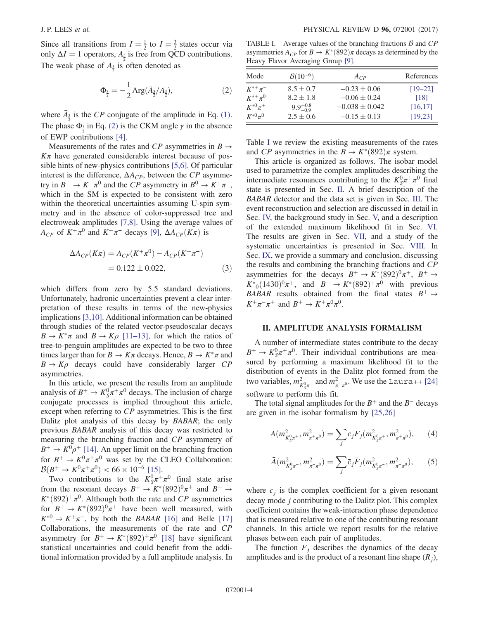<span id="page-3-0"></span>Since all transitions from  $I = \frac{1}{2}$  to  $I = \frac{3}{2}$  states occur via only  $\Delta I = 1$  operators,  $A_{\frac{3}{2}}$  is free from QCD contributions. The weak phase of  $A_{\frac{3}{2}}$  is often denoted as

$$
\Phi_{\frac{3}{2}} = -\frac{1}{2} \text{Arg}(\bar{A}_{\frac{3}{2}} / A_{\frac{3}{2}}),\tag{2}
$$

where  $\bar{A}_{\frac{3}{2}}$  is the CP conjugate of the amplitude in Eq. [\(1\)](#page-2-7). The phase  $\Phi_{\frac{3}{2}}$  in Eq. [\(2\)](#page-3-0) is the CKM angle  $\gamma$  in the absence of EWP contributions [\[4\]](#page-19-2).

Measurements of the rates and CP asymmetries in  $B \rightarrow$  $K_{\pi}$  have generated considerable interest because of possible hints of new-physics contributions [\[5,6\]](#page-19-3). Of particular interest is the difference,  $\Delta A_{CP}$ , between the CP asymmetry in  $B^+ \to K^+\pi^0$  and the CP asymmetry in  $B^0 \to K^+\pi^-$ , which in the SM is expected to be consistent with zero within the theoretical uncertainties assuming U-spin symmetry and in the absence of color-suppressed tree and electroweak amplitudes [\[7,8\].](#page-19-4) Using the average values of  $A_{CP}$  of  $K^+\pi^0$  and  $K^+\pi^-$  decays [\[9\]](#page-19-5),  $\Delta A_{CP}(K\pi)$  is

<span id="page-3-5"></span>
$$
\Delta A_{CP}(K\pi) = A_{CP}(K^+\pi^0) - A_{CP}(K^+\pi^-)
$$
  
= 0.122 ± 0.022, (3)

which differs from zero by 5.5 standard deviations. Unfortunately, hadronic uncertainties prevent a clear interpretation of these results in terms of the new-physics implications [\[3,10\]](#page-19-1). Additional information can be obtained through studies of the related vector-pseudoscalar decays  $B \to K^* \pi$  and  $B \to K \rho$  [11–[13\]](#page-19-6), for which the ratios of tree-to-penguin amplitudes are expected to be two to three times larger than for  $B \to K\pi$  decays. Hence,  $B \to K^*\pi$  and  $B \rightarrow K \rho$  decays could have considerably larger CP asymmetries.

In this article, we present the results from an amplitude analysis of  $B^+ \to K^0_S \pi^+ \pi^0$  decays. The inclusion of charge conjugate processes is implied throughout this article, except when referring to CP asymmetries. This is the first Dalitz plot analysis of this decay by BABAR; the only previous BABAR analysis of this decay was restricted to measuring the branching fraction and CP asymmetry of  $B^+ \rightarrow K^0 \rho^+$  [\[14\].](#page-19-7) An upper limit on the branching fraction for  $B^+ \to K^0 \pi^+ \pi^0$  was set by the CLEO Collaboration:  $\mathcal{B}(B^+ \to K^0 \pi^+ \pi^0) < 66 \times 10^{-6}$  [\[15\].](#page-19-8)

Two contributions to the  $K_S^0 \pi^+ \pi^0$  final state arise from the resonant decays  $B^+ \to K^*(892)^0 \pi^+$  and  $B^+ \to$  $K^*(892)^+\pi^0$ . Although both the rate and CP asymmetries for  $B^+ \to K^*(892)^0 \pi^+$  have been well measured, with  $K^{*0} \rightarrow K^+\pi^-$ , by both the BABAR [\[16\]](#page-19-9) and Belle [\[17\]](#page-19-10) Collaborations, the measurements of the rate and CP asymmetry for  $B^+ \to K^*(892)^+ \pi^0$  [\[18\]](#page-19-11) have significant statistical uncertainties and could benefit from the additional information provided by a full amplitude analysis. In

<span id="page-3-1"></span>TABLE I. Average values of the branching fractions  $\beta$  and  $\beta$ asymmetries  $A_{CP}$  for  $B \to K^*(892)\pi$  decays as determined by the Heavy Flavor Averaging Group [\[9\]](#page-19-5).

| Mode           | $B(10^{-6})$        | $A_{CP}$           | References |
|----------------|---------------------|--------------------|------------|
| $K^{*+}\pi^-$  | $8.5 \pm 0.7$       | $-0.23 \pm 0.06$   | $[19-22]$  |
| $K^{*+} \pi^0$ | $8.2 \pm 1.8$       | $-0.06 \pm 0.24$   | [18]       |
| $K^{*0}\pi^+$  | $9.9^{+0.8}_{-0.9}$ | $-0.038 \pm 0.042$ | [16, 17]   |
| $K^{*0}\pi^0$  | $2.5 \pm 0.6$       | $-0.15 \pm 0.13$   | [19, 23]   |

Table [I](#page-3-1) we review the existing measurements of the rates and CP asymmetries in the  $B \to K^*(892)\pi$  system.

This article is organized as follows. The isobar model used to parametrize the complex amplitudes describing the intermediate resonances contributing to the  $K_S^0 \pi^+ \pi^0$  final state is presented in Sec. [II](#page-3-2). A brief description of the BABAR detector and the data set is given in Sec. [III.](#page-5-0) The event reconstruction and selection are discussed in detail in Sec. [IV,](#page-5-1) the background study in Sec. [V,](#page-7-0) and a description of the extended maximum likelihood fit in Sec. [VI](#page-7-1). The results are given in Sec. [VII](#page-9-0), and a study of the systematic uncertainties is presented in Sec. [VIII](#page-13-0). In Sec. [IX](#page-14-0), we provide a summary and conclusion, discussing the results and combining the branching fractions and CP asymmetries for the decays  $B^+ \to K^*(892)^0 \pi^+, B^+ \to$  $K^*_{0}(1430)^{0}\pi^{+}$ , and  $B^+ \to K^*(892)^{+}\pi^{0}$  with previous BABAR results obtained from the final states  $B^+ \rightarrow$  $K^+\pi^-\pi^+$  and  $B^+\to K^+\pi^0\pi^0$ .

### <span id="page-3-2"></span>II. AMPLITUDE ANALYSIS FORMALISM

A number of intermediate states contribute to the decay  $B^+ \to K_S^0 \pi^+ \pi^0$ . Their individual contributions are measured by performing a maximum likelihood fit to the distribution of events in the Dalitz plot formed from the two variables,  $m_{K_S^0 \pi^+}^2$  and  $m_{\pi^+ \pi^0}^2$ . We use the Laura++ [\[24\]](#page-20-0) software to perform this fit.

<span id="page-3-3"></span>The total signal amplitudes for the  $B^+$  and the  $B^-$  decays are given in the isobar formalism by [\[25,26\]](#page-20-1)

$$
A(m_{K_S^0 \pi^+}^2, m_{\pi^+ \pi^0}^2) = \sum_j c_j F_j(m_{K_S^0 \pi^+}^2, m_{\pi^+ \pi^0}^2), \qquad (4)
$$

<span id="page-3-4"></span>
$$
\bar{A}(m_{K_S^0 \pi^-}^2, m_{\pi^- \pi^0}^2) = \sum_j \bar{c}_j \bar{F}_j(m_{K_S^0 \pi^-}^2, m_{\pi^- \pi^0}^2), \qquad (5)
$$

where  $c_i$  is the complex coefficient for a given resonant decay mode j contributing to the Dalitz plot. This complex coefficient contains the weak-interaction phase dependence that is measured relative to one of the contributing resonant channels. In this article we report results for the relative phases between each pair of amplitudes.

The function  $F_i$  describes the dynamics of the decay amplitudes and is the product of a resonant line shape  $(R_j)$ ,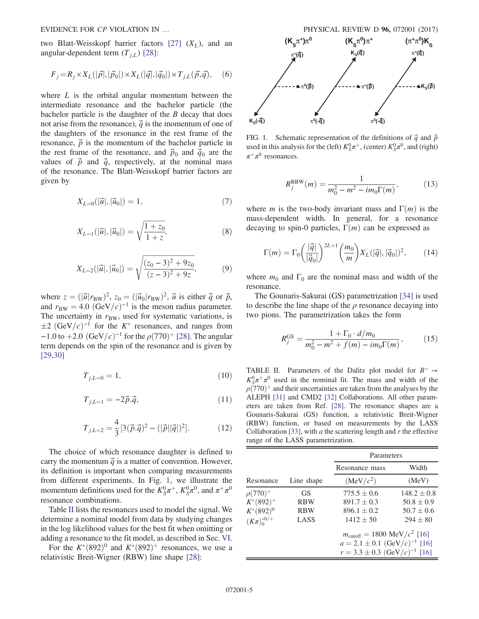two Blatt-Weisskopf barrier factors [\[27\]](#page-20-2)  $(X_L)$ , and an angular-dependent term  $(T_{i,L})$  [\[28\]](#page-20-3):

$$
F_j = R_j \times X_L(|\vec{p}|, |\vec{p}_0|) \times X_L(|\vec{q}|, |\vec{q}_0|) \times T_{j,L}(\vec{p}, \vec{q}), \quad (6)
$$

where  $L$  is the orbital angular momentum between the intermediate resonance and the bachelor particle (the bachelor particle is the daughter of the  $B$  decay that does not arise from the resonance),  $\vec{q}$  is the momentum of one of the daughters of the resonance in the rest frame of the resonance,  $\vec{p}$  is the momentum of the bachelor particle in the rest frame of the resonance, and  $\vec{p}_0$  and  $\vec{q}_0$  are the values of  $\vec{p}$  and  $\vec{q}$ , respectively, at the nominal mass of the resonance. The Blatt-Weisskopf barrier factors are given by

$$
X_{L=0}(|\vec{u}|, |\vec{u}_0|) = 1,\t\t(7)
$$

$$
X_{L=1}(|\vec{u}|, |\vec{u}_0|) = \sqrt{\frac{1+z_0}{1+z}},
$$
\n(8)

$$
X_{L=2}(|\vec{u}|, |\vec{u}_0|) = \sqrt{\frac{(z_0 - 3)^2 + 9z_0}{(z - 3)^2 + 9z}},\tag{9}
$$

where  $z = (|\vec{u}|r_{\text{BW}})^2$ ,  $z_0 = (|\vec{u}_0|r_{\text{BW}})^2$ ,  $\vec{u}$  is either  $\vec{q}$  or  $\vec{p}$ , and  $r_{\text{BW}} = 4.0 \ (\text{GeV}/c)^{-1}$  is the meson radius parameter. The uncertainty in  $r_{BW}$ , used for systematic variations, is  $\pm 2$  (GeV/c)<sup>-1</sup> for the K<sup>\*</sup> resonances, and ranges from  $-1.0$  to  $+2.0$   $(GeV/c)^{-1}$  for the  $\rho$ (770)<sup>+</sup> [\[28\].](#page-20-3) The angular term depends on the spin of the resonance and is given by [\[29,30\]](#page-20-4)

$$
T_{j,L=0} = 1,\t\t(10)
$$

$$
T_{j,L=1} = -2\vec{p}.\vec{q},\qquad(11)
$$

$$
T_{j,L=2} = \frac{4}{3} [3(\vec{p}.\vec{q})^2 - (|\vec{p}||\vec{q}|)^2].
$$
 (12)

The choice of which resonance daughter is defined to carry the momentum  $\vec{q}$  is a matter of convention. However, its definition is important when comparing measurements from different experiments. In Fig. [1,](#page-4-0) we illustrate the momentum definitions used for the  $K_S^0 \pi^+$ ,  $K_S^0 \pi^0$ , and  $\pi^+ \pi^0$ resonance combinations.

Table [II](#page-4-1) lists the resonances used to model the signal. We determine a nominal model from data by studying changes in the log likelihood values for the best fit when omitting or adding a resonance to the fit model, as described in Sec. [VI](#page-7-1).

For the  $K^*(892)^0$  and  $K^*(892)^+$  resonances, we use a relativistic Breit-Wigner (RBW) line shape [\[28\]](#page-20-3):



<span id="page-4-0"></span>FIG. 1. Schematic representation of the definitions of  $\vec{q}$  and  $\vec{p}$ used in this analysis for the (left)  $K_S^0 \pi^+$ , (center)  $K_S^0 \pi^0$ , and (right)  $\pi^+\pi^0$  resonances.

$$
R_j^{\text{RBW}}(m) = \frac{1}{m_0^2 - m^2 - im_0 \Gamma(m)},
$$
 (13)

<span id="page-4-2"></span>where *m* is the two-body invariant mass and  $\Gamma(m)$  is the mass-dependent width. In general, for a resonance decaying to spin-0 particles,  $\Gamma(m)$  can be expressed as

$$
\Gamma(m) = \Gamma_0 \left(\frac{|\vec{q}|}{|\vec{q}_0|}\right)^{2L+1} \left(\frac{m_0}{m}\right) X_L(|\vec{q}|, |\vec{q}_0|)^2, \qquad (14)
$$

where  $m_0$  and  $\Gamma_0$  are the nominal mass and width of the resonance.

The Gounaris-Sakurai (GS) parametrization [\[34\]](#page-20-5) is used to describe the line shape of the  $\rho$  resonance decaying into two pions. The parametrization takes the form

$$
R_j^{\rm GS} = \frac{1 + \Gamma_0 \cdot d/m_0}{m_0^2 - m^2 + f(m) - im_0 \Gamma(m)},
$$
(15)

<span id="page-4-1"></span>TABLE II. Parameters of the Dalitz plot model for  $B^+ \rightarrow$  $K_S^0 \pi^+ \pi^0$  used in the nominal fit. The mass and width of the  $\rho(770)^{+}$  and their uncertainties are taken from the analyses by the ALEPH [\[31\]](#page-20-6) and CMD2 [\[32\]](#page-20-7) Collaborations. All other parameters are taken from Ref. [\[28\]](#page-20-3). The resonance shapes are a Gounaris-Sakurai (GS) function, a relativistic Breit-Wigner (RBW) function, or based on measurements by the LASS Collaboration [\[33\],](#page-20-8) with  $a$  the scattering length and  $r$  the effective range of the LASS parametrization.

|                     |            | Parameters                                      |                 |  |  |
|---------------------|------------|-------------------------------------------------|-----------------|--|--|
|                     |            | Resonance mass                                  | Width           |  |  |
| Resonance           | Line shape | (MeV/c <sup>2</sup> )                           | (MeV)           |  |  |
| $\rho(770)^{+}$     | GS.        | $775.5 \pm 0.6$                                 | $148.2 \pm 0.8$ |  |  |
| $K^*(892)^+$        | <b>RBW</b> | $891.7 \pm 0.3$                                 | $50.8 \pm 0.9$  |  |  |
| $K^*(892)^0$        | <b>RBW</b> | $896.1 \pm 0.2$                                 | $50.7 \pm 0.6$  |  |  |
| $(K\pi)^{*0/+}_{0}$ | LASS       | $1412 \pm 50$                                   | $294 \pm 80$    |  |  |
|                     |            | $m_{\text{cutoff}} = 1800 \text{ MeV}/c^2$ [16] |                 |  |  |
|                     |            | $a = 2.1 \pm 0.1$ (GeV/c) <sup>-1</sup> [16]    |                 |  |  |
|                     |            | $r = 3.3 \pm 0.3$ (GeV/c) <sup>-1</sup> [16]    |                 |  |  |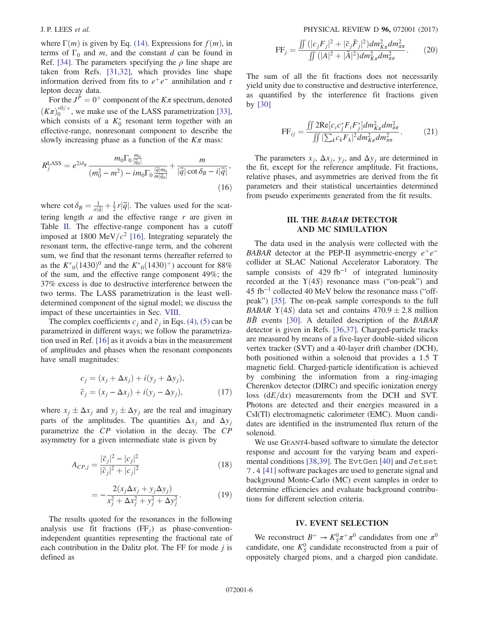where  $\Gamma(m)$  is given by Eq. [\(14\)](#page-4-2). Expressions for  $f(m)$ , in terms of  $\Gamma_0$  and m, and the constant d can be found in Ref. [\[34\].](#page-20-5) The parameters specifying the  $\rho$  line shape are taken from Refs. [\[31,32\],](#page-20-6) which provides line shape information derived from fits to  $e^+e^-$  annihilation and  $\tau$ lepton decay data.

For the  $J^P = 0^+$  component of the  $K\pi$  spectrum, denoted  $(K_{\pi})_0^{*0/+}$ , we make use of the LASS parametrization [\[33\]](#page-20-8), which consists of a  $K_0^*$  resonant term together with an effective-range, nonresonant component to describe the slowly increasing phase as a function of the  $K\pi$  mass:

$$
R_j^{\text{LASS}} = e^{2i\delta_B} \frac{m_0 \Gamma_0 \frac{m_0}{|\vec{q}_0|}}{(m_0^2 - m^2) - im_0 \Gamma_0 \frac{|\vec{q}| m_0}{m|\vec{q}_0|}} + \frac{m}{|\vec{q}| \cot \delta_B - i|\vec{q}|},\tag{16}
$$

where  $\cot \delta_B = \frac{1}{a|\vec{q}|} + \frac{1}{2}r|\vec{q}|$ . The values used for the scattering length  $a$  and the effective range  $r$  are given in Table [II](#page-4-1). The effective-range component has a cutoff imposed at 1800 MeV/ $c^2$  [\[16\]](#page-19-9). Integrating separately the resonant term, the effective-range term, and the coherent sum, we find that the resonant terms (hereafter referred to as the  $K^*_{0}(1430)^{0}$  and the  $K^*_{0}(1430)^{+}$ ) account for 88% of the sum, and the effective range component 49%; the 37% excess is due to destructive interference between the two terms. The LASS parametrization is the least welldetermined component of the signal model; we discuss the impact of these uncertainties in Sec. [VIII](#page-13-0).

The complex coefficients  $c_i$  and  $\bar{c}_j$  in Eqs. [\(4\)](#page-3-3), [\(5\)](#page-3-4) can be parametrized in different ways; we follow the parametrization used in Ref. [\[16\]](#page-19-9) as it avoids a bias in the measurement of amplitudes and phases when the resonant components have small magnitudes:

$$
c_j = (x_j + \Delta x_j) + i(y_j + \Delta y_j),
$$
  
\n
$$
\bar{c}_j = (x_j - \Delta x_j) + i(y_j - \Delta y_j),
$$
\n(17)

<span id="page-5-2"></span>where  $x_j \pm \Delta x_j$  and  $y_j \pm \Delta y_j$  are the real and imaginary parts of the amplitudes. The quantities  $\Delta x_i$  and  $\Delta y_i$ parametrize the CP violation in the decay. The CP asymmetry for a given intermediate state is given by

<span id="page-5-3"></span>
$$
A_{CP,j} = \frac{|\bar{c}_j|^2 - |c_j|^2}{|\bar{c}_j|^2 + |c_j|^2}
$$
 (18)

$$
= -\frac{2(x_j \Delta x_j + y_j \Delta y_j)}{x_j^2 + \Delta x_j^2 + y_j^2 + \Delta y_j^2}.
$$
 (19)

The results quoted for the resonances in the following analysis use fit fractions  $(FF_i)$  as phase-conventionindependent quantities representing the fractional rate of each contribution in the Dalitz plot. The FF for mode  $j$  is defined as

$$
\text{FF}_j = \frac{\iint \left( |c_j F_j|^2 + |\bar{c}_j \bar{F}_j|^2 \right) dm_{K\pi}^2 dm_{\pi\pi}^2}{\iint \left( |A|^2 + |\bar{A}|^2 \right) dm_{K\pi}^2 dm_{\pi\pi}^2}.
$$
 (20)

The sum of all the fit fractions does not necessarily yield unity due to constructive and destructive interference, as quantified by the interference fit fractions given by [\[30\]](#page-20-9)

$$
\text{FF}_{ij} = \frac{\iint 2\text{Re}[c_i c_j^* F_i F_j^*] dm_{K\pi}^2 dm_{\pi\pi}^2}{\iint |\sum_k c_k F_k|^2 dm_{K\pi}^2 dm_{\pi\pi}^2}.
$$
 (21)

The parameters  $x_i$ ,  $\Delta x_i$ ,  $y_i$ , and  $\Delta y_i$  are determined in the fit, except for the reference amplitude. Fit fractions, relative phases, and asymmetries are derived from the fit parameters and their statistical uncertainties determined from pseudo experiments generated from the fit results.

# III. THE BABAR DETECTOR AND MC SIMULATION

<span id="page-5-0"></span>The data used in the analysis were collected with the BABAR detector at the PEP-II asymmetric-energy  $e^+e^$ collider at SLAC National Accelerator Laboratory. The sample consists of  $429$  fb<sup>-1</sup> of integrated luminosity recorded at the  $Y(4S)$  resonance mass ("on-peak") and 45 fb<sup>−</sup><sup>1</sup> collected 40 MeV below the resonance mass ("offpeak") [\[35\]](#page-20-10). The on-peak sample corresponds to the full BABAR  $\Upsilon(4S)$  data set and contains  $470.9 \pm 2.8$  million  $B\overline{B}$  events [\[30\].](#page-20-9) A detailed description of the BABAR detector is given in Refs. [\[36,37\]](#page-20-11). Charged-particle tracks are measured by means of a five-layer double-sided silicon vertex tracker (SVT) and a 40-layer drift chamber (DCH), both positioned within a solenoid that provides a 1.5 T magnetic field. Charged-particle identification is achieved by combining the information from a ring-imaging Cherenkov detector (DIRC) and specific ionization energy loss  $(dE/dx)$  measurements from the DCH and SVT. Photons are detected and their energies measured in a CsI(Tl) electromagnetic calorimeter (EMC). Muon candidates are identified in the instrumented flux return of the solenoid.

We use GEANT4-based software to simulate the detector response and account for the varying beam and experimental conditions [\[38,39\].](#page-20-12) The EvtGen [\[40\]](#page-20-13) and Jetset 7.4 [\[41\]](#page-20-14) software packages are used to generate signal and background Monte-Carlo (MC) event samples in order to determine efficiencies and evaluate background contributions for different selection criteria.

# IV. EVENT SELECTION

<span id="page-5-1"></span>We reconstruct  $B^+ \to K_S^0 \pi^+ \pi^0$  candidates from one  $\pi^0$ candidate, one  $K_S^0$  candidate reconstructed from a pair of oppositely charged pions, and a charged pion candidate.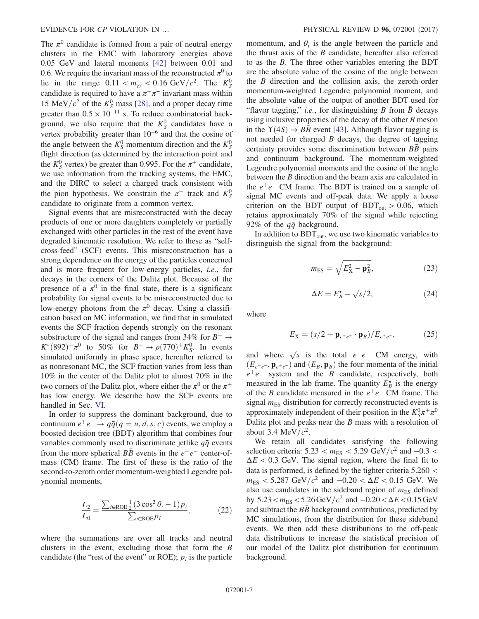The  $\pi^0$  candidate is formed from a pair of neutral energy clusters in the EMC with laboratory energies above 0.05 GeV and lateral moments [\[42\]](#page-20-15) between 0.01 and 0.6. We require the invariant mass of the reconstructed  $\pi^0$  to lie in the range  $0.11 < m_{\gamma\gamma} < 0.16 \text{ GeV}/c^2$ . The  $K_S^0$ candidate is required to have a  $\pi^+\pi^-$  invariant mass within 15 MeV/ $c^2$  of the  $K_S^0$  mass [\[28\]](#page-20-3), and a proper decay time greater than  $0.5 \times 10^{-11}$  s. To reduce combinatorial background, we also require that the  $K_S^0$  candidates have a vertex probability greater than  $10^{-6}$  and that the cosine of the angle between the  $K_S^0$  momentum direction and the  $K_S^0$ flight direction (as determined by the interaction point and the  $K_S^0$  vertex) be greater than 0.995. For the  $\pi^+$  candidate, we use information from the tracking systems, the EMC, and the DIRC to select a charged track consistent with the pion hypothesis. We constrain the  $\pi^+$  track and  $K^0_S$ candidate to originate from a common vertex.

Signal events that are misreconstructed with the decay products of one or more daughters completely or partially exchanged with other particles in the rest of the event have degraded kinematic resolution. We refer to these as "selfcross-feed" (SCF) events. This misreconstruction has a strong dependence on the energy of the particles concerned and is more frequent for low-energy particles, i.e., for decays in the corners of the Dalitz plot. Because of the presence of a  $\pi^0$  in the final state, there is a significant probability for signal events to be misreconstructed due to low-energy photons from the  $\pi^0$  decay. Using a classification based on MC information, we find that in simulated events the SCF fraction depends strongly on the resonant substructure of the signal and ranges from 34% for  $B^+ \rightarrow$  $K^*(892)^+\pi^0$  to 50% for  $B^+ \to \rho(770)^+K_S^0$ . In events simulated uniformly in phase space, hereafter referred to as nonresonant MC, the SCF fraction varies from less than 10% in the center of the Dalitz plot to almost 70% in the two corners of the Dalitz plot, where either the  $\pi^0$  or the  $\pi^+$ has low energy. We describe how the SCF events are handled in Sec. [VI.](#page-7-1)

In order to suppress the dominant background, due to continuum  $e^+e^- \rightarrow q\bar{q}$  ( $q = u, d, s, c$ ) events, we employ a boosted decision tree (BDT) algorithm that combines four variables commonly used to discriminate jetlike  $q\bar{q}$  events from the more spherical  $B\bar{B}$  events in the  $e^+e^-$  center-ofmass (CM) frame. The first of these is the ratio of the second-to-zeroth order momentum-weighted Legendre polynomial moments,

$$
\frac{L_2}{L_0} = \frac{\sum_{i \in \text{ROE}} \frac{1}{2} (3 \cos^2 \theta_i - 1) p_i}{\sum_{i \in \text{ROE}} p_i},\tag{22}
$$

where the summations are over all tracks and neutral clusters in the event, excluding those that form the B candidate (the "rest of the event" or ROE);  $p_i$  is the particle momentum, and  $\theta_i$  is the angle between the particle and the thrust axis of the  $B$  candidate, hereafter also referred to as the B. The three other variables entering the BDT are the absolute value of the cosine of the angle between the B direction and the collision axis, the zeroth-order momentum-weighted Legendre polynomial moment, and the absolute value of the output of another BDT used for "flavor tagging," *i.e.*, for distinguishing B from  $\bar{B}$  decays using inclusive properties of the decay of the other  $B$  meson in the  $Y(4S) \rightarrow B\bar{B}$  event [\[43\]](#page-20-16). Although flavor tagging is not needed for charged  $B$  decays, the degree of tagging certainty provides some discrimination between  $BB$  pairs and continuum background. The momentum-weighted Legendre polynomial moments and the cosine of the angle between the B direction and the beam axis are calculated in the  $e^+e^-$  CM frame. The BDT is trained on a sample of signal MC events and off-peak data. We apply a loose criterion on the BDT output of  $BDT_{out} > 0.06$ , which retains approximately 70% of the signal while rejecting 92% of the  $q\bar{q}$  background.

In addition to  $BDT_{out}$ , we use two kinematic variables to distinguish the signal from the background:

$$
m_{\text{ES}} = \sqrt{E_X^2 - \mathbf{p}_B^2},\tag{23}
$$

$$
\Delta E = E_B^* - \sqrt{s}/2, \qquad (24)
$$

where

$$
E_X = (s/2 + \mathbf{p}_{e^+e^-} \cdot \mathbf{p}_B)/E_{e^+e^-},
$$
 (25)

and where  $\sqrt{s}$  is the total  $e^+e^-$  CM energy, with  $(E_{e^+e^-}, \mathbf{p}_{e^+e^-})$  and  $(E_B, \mathbf{p}_B)$  the four-momenta of the initial  $e^+e^-$  system and the B candidate, respectively, both measured in the lab frame. The quantity  $E_B^{\star}$  is the energy of the B candidate measured in the  $e^+e^-$  CM frame. The signal  $m_{ES}$  distribution for correctly reconstructed events is approximately independent of their position in the  $K^0_S \pi^+ \pi^0$ Dalitz plot and peaks near the B mass with a resolution of about 3.4 MeV/ $c^2$ .

We retain all candidates satisfying the following selection criteria:  $5.23 < m_{ES} < 5.29$  GeV/ $c^2$  and  $-0.3 <$  $\Delta E < 0.3$  GeV. The signal region, where the final fit to data is performed, is defined by the tighter criteria 5.260 <  $m_{ES}$  < 5.287 GeV/ $c^2$  and  $-0.20 < \Delta E < 0.15$  GeV. We also use candidates in the sideband region of  $m_{ES}$  defined by  $5.23 < m_{ES} < 5.26 \,\text{GeV}/c^2$  and  $-0.20 < \Delta E < 0.15 \,\text{GeV}$ and subtract the  $B\bar{B}$  background contributions, predicted by MC simulations, from the distribution for these sideband events. We then add these distributions to the off-peak data distributions to increase the statistical precision of our model of the Dalitz plot distribution for continuum background.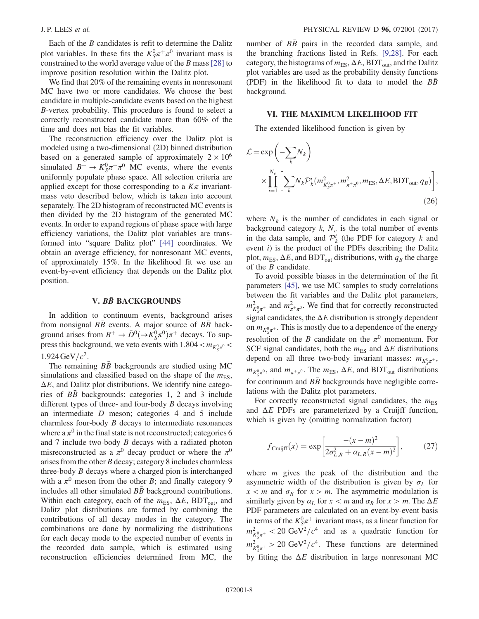Each of the B candidates is refit to determine the Dalitz plot variables. In these fits the  $K_S^0 \pi^+ \pi^0$  invariant mass is constrained to the world average value of the B mass [\[28\]](#page-20-3) to improve position resolution within the Dalitz plot.

We find that 20% of the remaining events in nonresonant MC have two or more candidates. We choose the best candidate in multiple-candidate events based on the highest B-vertex probability. This procedure is found to select a correctly reconstructed candidate more than 60% of the time and does not bias the fit variables.

The reconstruction efficiency over the Dalitz plot is modeled using a two-dimensional (2D) binned distribution based on a generated sample of approximately  $2 \times 10^6$ simulated  $B^+ \to K_S^0 \pi^+ \pi^0$  MC events, where the events uniformly populate phase space. All selection criteria are applied except for those corresponding to a  $K\pi$  invariantmass veto described below, which is taken into account separately. The 2D histogram of reconstructed MC events is then divided by the 2D histogram of the generated MC events. In order to expand regions of phase space with large efficiency variations, the Dalitz plot variables are transformed into "square Dalitz plot" [\[44\]](#page-20-17) coordinates. We obtain an average efficiency, for nonresonant MC events, of approximately 15%. In the likelihood fit we use an event-by-event efficiency that depends on the Dalitz plot position.

### V. BB BACKGROUNDS

<span id="page-7-0"></span>In addition to continuum events, background arises from nonsignal  $B\bar{B}$  events. A major source of  $B\bar{B}$  background arises from  $B^+ \to \bar{D}^0 (\to \bar{K}_S^0 \pi^0) \pi^+$  decays. To suppress this background, we veto events with  $1.804 < m_{K^0_S \pi^0}$ 1.924 GeV/ $c^2$ .

The remaining  $B\bar{B}$  backgrounds are studied using MC simulations and classified based on the shape of the  $m_{ES}$ ,  $\Delta E$ , and Dalitz plot distributions. We identify nine categories of  $B\bar{B}$  backgrounds: categories 1, 2 and 3 include different types of three- and four-body  $B$  decays involving an intermediate D meson; categories 4 and 5 include charmless four-body  $B$  decays to intermediate resonances where a  $\pi^0$  in the final state is not reconstructed; categories 6 and  $7$  include two-body  $B$  decays with a radiated photon misreconstructed as a  $\pi^0$  decay product or where the  $\pi^0$ arises from the other B decay; category 8 includes charmless three-body  $B$  decays where a charged pion is interchanged with a  $\pi^0$  meson from the other B; and finally category 9 includes all other simulated  $B\bar{B}$  background contributions. Within each category, each of the  $m_{ES}$ ,  $\Delta E$ , BDT<sub>out</sub>, and Dalitz plot distributions are formed by combining the contributions of all decay modes in the category. The combinations are done by normalizing the distributions for each decay mode to the expected number of events in the recorded data sample, which is estimated using reconstruction efficiencies determined from MC, the number of  $B\bar{B}$  pairs in the recorded data sample, and the branching fractions listed in Refs. [\[9,28\].](#page-19-5) For each category, the histograms of  $m_{ES}$ ,  $\Delta E$ , BDT<sub>out</sub>, and the Dalitz plot variables are used as the probability density functions (PDF) in the likelihood fit to data to model the  $B\bar{B}$ background.

### <span id="page-7-1"></span>VI. THE MAXIMUM LIKELIHOOD FIT

The extended likelihood function is given by

$$
\mathcal{L} = \exp\left(-\sum_{k} N_{k}\right)
$$
  
 
$$
\times \prod_{i=1}^{N_{e}} \left[\sum_{k} N_{k} \mathcal{P}_{k}^{i} (m_{K_{S}^{0}\pi^{+}}^{2}, m_{\pi^{+}\pi^{0}}^{2}, m_{\text{ES}}, \Delta E, \text{BDT}_{\text{out}}, q_{B})\right],
$$
  
(26)

where  $N_k$  is the number of candidates in each signal or background category  $k$ ,  $N_e$  is the total number of events in the data sample, and  $\mathcal{P}_{k}^{i}$  (the PDF for category k and event  $i$ ) is the product of the PDFs describing the Dalitz plot,  $m_{ES}$ ,  $\Delta E$ , and BDT<sub>out</sub> distributions, with  $q_B$  the charge of the B candidate.

To avoid possible biases in the determination of the fit parameters [\[45\],](#page-20-18) we use MC samples to study correlations between the fit variables and the Dalitz plot parameters,  $m_{K_S^0\pi^+}^2$  and  $m_{\pi^+\pi^0}^2$ . We find that for correctly reconstructed signal candidates, the  $\Delta E$  distribution is strongly dependent on  $m_{K^0_S \pi^+}$ . This is mostly due to a dependence of the energy resolution of the B candidate on the  $\pi^0$  momentum. For SCF signal candidates, both the  $m_{ES}$  and  $\Delta E$  distributions depend on all three two-body invariant masses:  $m_{K_S^0\pi^+}$ ,  $m_{K^0_S\pi^0}$ , and  $m_{\pi^+\pi^0}$ . The  $m_{ES}$ ,  $\Delta E$ , and BDT<sub>out</sub> distributions for continuum and  $B\bar{B}$  backgrounds have negligible correlations with the Dalitz plot parameters.

<span id="page-7-2"></span>For correctly reconstructed signal candidates, the  $m<sub>ES</sub>$ and  $\Delta E$  PDFs are parameterized by a Cruijff function, which is given by (omitting normalization factor)

$$
f_{\text{Cruijff}}(x) = \exp\left[\frac{-(x-m)^2}{2\sigma_{L,R}^2 + \alpha_{L,R}(x-m)^2}\right],\tag{27}
$$

where  $m$  gives the peak of the distribution and the asymmetric width of the distribution is given by  $\sigma_L$  for  $x < m$  and  $\sigma_R$  for  $x > m$ . The asymmetric modulation is similarly given by  $\alpha_L$  for  $x < m$  and  $\alpha_R$  for  $x > m$ . The  $\Delta E$ PDF parameters are calculated on an event-by-event basis in terms of the  $K^0_S \pi^+$  invariant mass, as a linear function for  $m_{K^0_S \pi^+}^2 < 20 \text{ GeV}^2/c^4$  and as a quadratic function for  $m_{K_S^0\pi^+}^2 > 20 \text{ GeV}^2/c^4$ . These functions are determined by fitting the  $\Delta E$  distribution in large nonresonant MC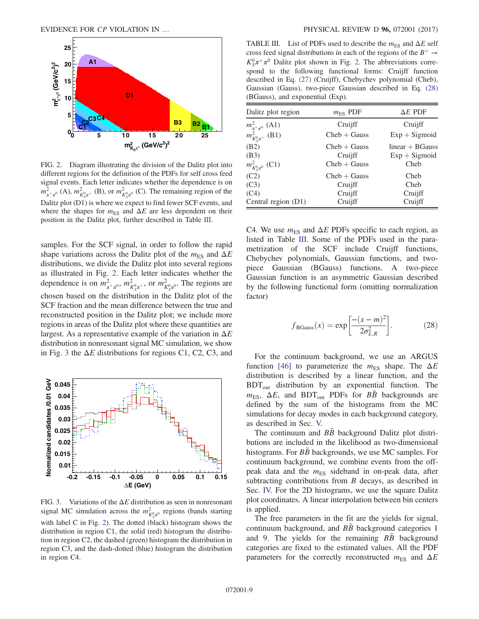<span id="page-8-0"></span>

FIG. 2. Diagram illustrating the division of the Dalitz plot into different regions for the definition of the PDFs for self cross feed signal events. Each letter indicates whether the dependence is on  $m_{\pi^+\pi^0}^2$  (A),  $m_{K_S^0\pi^+}^2$  (B), or  $m_{K_S^0\pi^0}^2$  (C). The remaining region of the Dalitz plot (D1) is where we expect to find fewer SCF events, and where the shapes for  $m_{ES}$  and  $\Delta E$  are less dependent on their position in the Dalitz plot, further described in Table [III.](#page-8-2)

samples. For the SCF signal, in order to follow the rapid shape variations across the Dalitz plot of the  $m_{ES}$  and  $\Delta E$ distributions, we divide the Dalitz plot into several regions as illustrated in Fig. [2.](#page-8-0) Each letter indicates whether the dependence is on  $m_{\pi^+\pi^0}^2$ ,  $m_{K_S^0\pi^+}^2$ , or  $m_{K_S^0\pi^0}^2$ . The regions are chosen based on the distribution in the Dalitz plot of the SCF fraction and the mean difference between the true and reconstructed position in the Dalitz plot; we include more regions in areas of the Dalitz plot where these quantities are largest. As a representative example of the variation in  $\Delta E$ distribution in nonresonant signal MC simulation, we show in Fig. [3](#page-8-1) the  $\Delta E$  distributions for regions C1, C2, C3, and

<span id="page-8-1"></span>

FIG. 3. Variations of the  $\Delta E$  distribution as seen in nonresonant signal MC simulation across the  $m_{K_N^0\pi^0}^2$  regions (bands starting with label C in Fig. [2\)](#page-8-0). The dotted (black) histogram shows the distribution in region C1, the solid (red) histogram the distribution in region C2, the dashed (green) histogram the distribution in region C3, and the dash-dotted (blue) histogram the distribution in region C4.

<span id="page-8-2"></span>TABLE III. List of PDFs used to describe the  $m_{ES}$  and  $\Delta E$  self cross feed signal distributions in each of the regions of the  $B^+ \rightarrow$  $K_S^0 \pi^+ \pi^0$  Dalitz plot shown in Fig. [2](#page-8-0). The abbreviations correspond to the following functional forms: Cruijff function described in Eq. [\(27\)](#page-7-2) (Cruijff), Chebychev polynomial (Cheb), Gaussian (Gauss), two-piece Gaussian described in Eq. [\(28\)](#page-8-3) (BGauss), and exponential (Exp).

| Dalitz plot region                                 | $m_{ES}$ PDF              | $\Delta E$ PDF                       |
|----------------------------------------------------|---------------------------|--------------------------------------|
|                                                    | Cruijff                   | Cruijff                              |
| $m_{\pi^+\pi^0}^2$ (A1)<br>$m_{K_3^0\pi^+}^2$ (B1) | $Cheb + Gauss$            | $Exp + Sigmoid$                      |
| (B2)<br>(B3)                                       | $Cheb + Gauss$<br>Cruijff | $linear + BGauss$<br>$Exp + Sigmoid$ |
| $m_{K^0_S\pi^0}^2$ (C1)                            | $Cheb + Gauss$            | Cheb                                 |
| (C2)                                               | $Cheb + Gauss$            | Cheb                                 |
| (C3)                                               | Cruijff                   | Cheb                                 |
| (C4)                                               | Cruijff                   | Cruijff                              |
| Central region (D1)                                | Cruijff                   | Cruijff                              |

C4. We use  $m_{ES}$  and  $\Delta E$  PDFs specific to each region, as listed in Table [III](#page-8-2). Some of the PDFs used in the parametrization of the SCF include Cruijff functions, Chebychev polynomials, Gaussian functions, and twopiece Gaussian (BGauss) functions. A two-piece Gaussian function is an asymmetric Gaussian described by the following functional form (omitting normalization factor)

<span id="page-8-3"></span>
$$
f_{\text{BGauss}}(x) = \exp\left[\frac{-(x-m)^2}{2\sigma_{L,R}^2}\right].\tag{28}
$$

For the continuum background, we use an ARGUS function [\[46\]](#page-20-19) to parameterize the  $m_{ES}$  shape. The  $\Delta E$ distribution is described by a linear function, and the  $BDT_{out}$  distribution by an exponential function. The  $m_{ES}$ ,  $\Delta E$ , and BDT<sub>out</sub> PDFs for  $B\bar{B}$  backgrounds are defined by the sum of the histograms from the MC simulations for decay modes in each background category, as described in Sec. [V.](#page-7-0)

The continuum and  $BB$  background Dalitz plot distributions are included in the likelihood as two-dimensional histograms. For  $B\bar{B}$  backgrounds, we use MC samples. For continuum background, we combine events from the offpeak data and the  $m_{ES}$  sideband in on-peak data, after subtracting contributions from  $B$  decays, as described in Sec. [IV.](#page-5-1) For the 2D histograms, we use the square Dalitz plot coordinates. A linear interpolation between bin centers is applied.

The free parameters in the fit are the yields for signal, continuum background, and  $B\bar{B}$  background categories 1 and 9. The yields for the remaining  $B\bar{B}$  background categories are fixed to the estimated values. All the PDF parameters for the correctly reconstructed  $m_{ES}$  and  $\Delta E$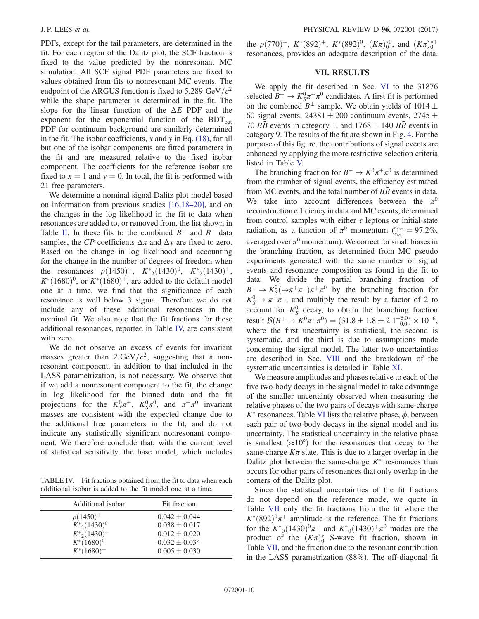PDFs, except for the tail parameters, are determined in the fit. For each region of the Dalitz plot, the SCF fraction is fixed to the value predicted by the nonresonant MC simulation. All SCF signal PDF parameters are fixed to values obtained from fits to nonresonant MC events. The endpoint of the ARGUS function is fixed to 5.289 GeV/ $c^2$ while the shape parameter is determined in the fit. The slope for the linear function of the  $\Delta E$  PDF and the exponent for the exponential function of the  $BDT_{out}$ PDF for continuum background are similarly determined in the fit. The isobar coefficients, x and y in Eq.  $(18)$ , for all but one of the isobar components are fitted parameters in the fit and are measured relative to the fixed isobar component. The coefficients for the reference isobar are fixed to  $x = 1$  and  $y = 0$ . In total, the fit is performed with 21 free parameters.

We determine a nominal signal Dalitz plot model based on information from previous studies [\[16,18](#page-19-9)–20], and on the changes in the log likelihood in the fit to data when resonances are added to, or removed from, the list shown in Table [II](#page-4-1). In these fits to the combined  $B^+$  and  $B^-$  data samples, the CP coefficients  $\Delta x$  and  $\Delta y$  are fixed to zero. Based on the change in log likelihood and accounting for the change in the number of degrees of freedom when the resonances  $\rho(1450)^+$ ,  $K^*_{2}(1430)^0$ ,  $K^*_{2}(1430)^+$ ,  $K^*(1680)^0$ , or  $K^*(1680)^+$ , are added to the default model one at a time, we find that the significance of each resonance is well below 3 sigma. Therefore we do not include any of these additional resonances in the nominal fit. We also note that the fit fractions for these additional resonances, reported in Table [IV,](#page-9-1) are consistent with zero.

We do not observe an excess of events for invariant masses greater than 2 GeV/ $c^2$ , suggesting that a nonresonant component, in addition to that included in the LASS parametrization, is not necessary. We observe that if we add a nonresonant component to the fit, the change in log likelihood for the binned data and the fit projections for the  $K_S^0 \pi^+$ ,  $K_S^0 \pi^0$ , and  $\pi^+ \pi^0$  invariant masses are consistent with the expected change due to the additional free parameters in the fit, and do not indicate any statistically significant nonresonant component. We therefore conclude that, with the current level of statistical sensitivity, the base model, which includes

<span id="page-9-1"></span>TABLE IV. Fit fractions obtained from the fit to data when each additional isobar is added to the fit model one at a time.

| Additional isobar | Fit fraction      |
|-------------------|-------------------|
| $\rho(1450)^{+}$  | $0.042 \pm 0.044$ |
| $K^*_{2}(1430)^0$ | $0.038 \pm 0.017$ |
| $K^*_{2}(1430)^+$ | $0.012 \pm 0.020$ |
| $K^*(1680)^0$     | $0.032 \pm 0.034$ |
| $K^*(1680)^+$     | $0.005 \pm 0.030$ |

the  $\rho(770)^+$ ,  $K^*(892)^+$ ,  $K^*(892)^0$ ,  $(K_{\pi})_0^{*0}$ , and  $(K_{\pi})_0^{*+}$ resonances, provides an adequate description of the data.

# VII. RESULTS

<span id="page-9-0"></span>We apply the fit described in Sec. [VI](#page-7-1) to the 31876 selected  $B^+ \to K_S^0 \pi^+ \pi^0$  candidates. A first fit is performed on the combined  $B^{\pm}$  sample. We obtain yields of 1014  $\pm$ 60 signal events,  $24381 \pm 200$  continuum events,  $2745 \pm 100$ 70 BB events in category 1, and  $1768 \pm 140$  BB events in category 9. The results of the fit are shown in Fig. [4.](#page-10-0) For the purpose of this figure, the contributions of signal events are enhanced by applying the more restrictive selection criteria listed in Table [V.](#page-11-0)

The branching fraction for  $B^+ \to K^0 \pi^+ \pi^0$  is determined from the number of signal events, the efficiency estimated from MC events, and the total number of  $B\bar{B}$  events in data. We take into account differences between the  $\pi^0$ reconstruction efficiency in data and MC events, determined from control samples with either  $\tau$  leptons or initial-state radiation, as a function of  $\pi^0$  momentum ( $\frac{\epsilon_{\text{data}}}{\epsilon_{\text{MC}}} = 97.2\%$ , averaged over  $\pi^0$  momentum). We correct for small biases in the branching fraction, as determined from MC pseudo experiments generated with the same number of signal events and resonance composition as found in the fit to data. We divide the partial branching fraction of  $B^+ \to K^0_S(\to \pi^+\pi^-)\pi^+\pi^0$  by the branching fraction for  $K_S^0 \to \pi^+ \pi^-$ , and multiply the result by a factor of 2 to account for  $K_S^0$  decay, to obtain the branching fraction result  $\mathcal{B}(B^+ \to K^0 \pi^+ \pi^0) = (31.8 \pm 1.8 \pm 2.1^{+6.0}_{-0.0}) \times 10^{-6}$ , where the first uncertainty is statistical, the second is systematic, and the third is due to assumptions made concerning the signal model. The latter two uncertainties are described in Sec. [VIII](#page-13-0) and the breakdown of the systematic uncertainties is detailed in Table [XI.](#page-16-0)

We measure amplitudes and phases relative to each of the five two-body decays in the signal model to take advantage of the smaller uncertainty observed when measuring the relative phases of the two pairs of decays with same-charge  $K^*$  resonances. Table [VI](#page-11-1) lists the relative phase,  $\phi$ , between each pair of two-body decays in the signal model and its uncertainty. The statistical uncertainty in the relative phase is smallest  $(\approx 10^{\circ})$  for the resonances that decay to the same-charge  $K_{\pi}$  state. This is due to a larger overlap in the Dalitz plot between the same-charge  $K^*$  resonances than occurs for other pairs of resonances that only overlap in the corners of the Dalitz plot.

Since the statistical uncertainties of the fit fractions do not depend on the reference mode, we quote in Table [VII](#page-11-2) only the fit fractions from the fit where the  $K^*(892)^0\pi^+$  amplitude is the reference. The fit fractions for the  $K^*_{0}(1430)^{0}\pi^+$  and  $K^*_{0}(1430)^+\pi^0$  modes are the product of the  $(K\pi)_0^*$  S-wave fit fraction, shown in Table [VII,](#page-11-2) and the fraction due to the resonant contribution in the LASS parametrization (88%). The off-diagonal fit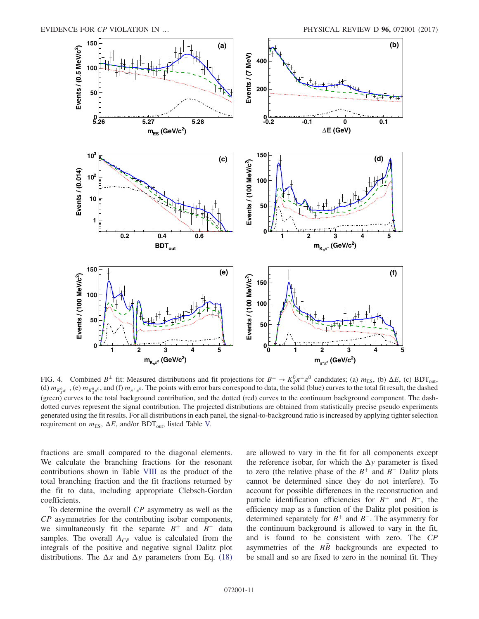<span id="page-10-0"></span>

FIG. 4. Combined  $B^{\pm}$  fit: Measured distributions and fit projections for  $B^{\pm} \to K_S^0 \pi^{\pm} \pi^0$  candidates; (a)  $m_{ES}$ , (b)  $\Delta E$ , (c) BDT<sub>out</sub>, (d)  $m_{K^0_S\pi^+}$ , (e)  $m_{K^0_S\pi^0}$ , and (f)  $m_{\pi^+\pi^0}$ . The points with error bars correspond to data, the solid (blue) curves to the total fit result, the dashed (green) curves to the total background contribution, and the dotted (red) curves to the continuum background component. The dashdotted curves represent the signal contribution. The projected distributions are obtained from statistically precise pseudo experiments generated using the fit results. For all distributions in each panel, the signal-to-background ratio is increased by applying tighter selection requirement on  $m_{ES}$ ,  $\Delta E$ , and/or BDT<sub>out</sub>, listed Table [V.](#page-11-0)

fractions are small compared to the diagonal elements. We calculate the branching fractions for the resonant contributions shown in Table [VIII](#page-11-3) as the product of the total branching fraction and the fit fractions returned by the fit to data, including appropriate Clebsch-Gordan coefficients.

To determine the overall CP asymmetry as well as the CP asymmetries for the contributing isobar components, we simultaneously fit the separate  $B^+$  and  $B^-$  data samples. The overall  $A_{CP}$  value is calculated from the integrals of the positive and negative signal Dalitz plot distributions. The  $\Delta x$  and  $\Delta y$  parameters from Eq. [\(18\)](#page-5-2) are allowed to vary in the fit for all components except the reference isobar, for which the  $\Delta y$  parameter is fixed to zero (the relative phase of the  $B^+$  and  $B^-$  Dalitz plots cannot be determined since they do not interfere). To account for possible differences in the reconstruction and particle identification efficiencies for  $B^+$  and  $B^-$ , the efficiency map as a function of the Dalitz plot position is determined separately for  $B^+$  and  $B^-$ . The asymmetry for the continuum background is allowed to vary in the fit, and is found to be consistent with zero. The CP asymmetries of the  $B\bar{B}$  backgrounds are expected to be small and so are fixed to zero in the nominal fit. They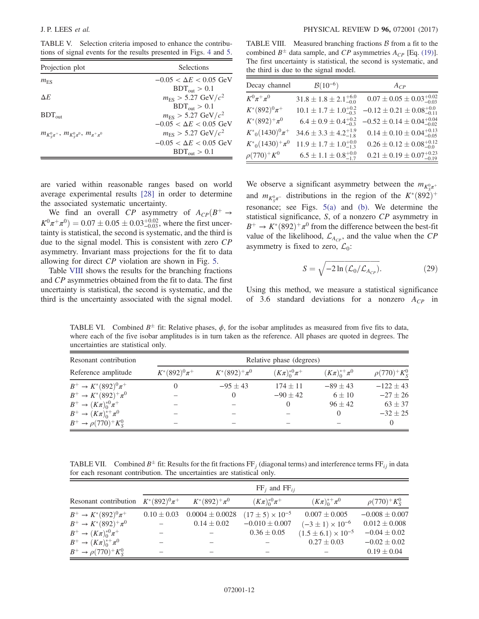<span id="page-11-0"></span>TABLE V. Selection criteria imposed to enhance the contributions of signal events for the results presented in Figs. [4](#page-10-0) and [5.](#page-12-0)

<span id="page-11-3"></span>TABLE VIII. Measured branching fractions  $\beta$  from a fit to the combined  $B^{\pm}$  data sample, and CP asymmetries  $A_{CP}$  [Eq. [\(19\)\]](#page-5-3). The first uncertainty is statistical, the second is systematic, and the third is due to the signal model.

| Projection plot                                  | Selections                          |  |  |
|--------------------------------------------------|-------------------------------------|--|--|
| $m_{\rm{ES}}$                                    | $-0.05 < \Delta E < 0.05$ GeV       |  |  |
|                                                  | $BDT_{out} > 0.1$                   |  |  |
| $\Delta E$                                       | $m_{\rm ES} > 5.27 \text{ GeV}/c^2$ |  |  |
|                                                  | $BDT_{out} > 0.1$                   |  |  |
| $BDT_{out}$                                      | $m_{\rm ES} > 5.27 \text{ GeV}/c^2$ |  |  |
|                                                  | $-0.05 < \Delta E < 0.05$ GeV       |  |  |
| $m_{K^0_S\pi^+}, m_{K^0_S\pi^0}, m_{\pi^+\pi^0}$ | $m_{\rm ES} > 5.27 \text{ GeV}/c^2$ |  |  |
|                                                  | $-0.05 < \Delta E < 0.05$ GeV       |  |  |
|                                                  | $BDT_{out} > 0.1$                   |  |  |

| Decay channel          | $B(10^{-6})$                         | $A_{CP}$                                  |
|------------------------|--------------------------------------|-------------------------------------------|
| $K^0\pi^+\pi^0$        | $31.8 \pm 1.8 \pm 2.1^{+6.0}_{-0.0}$ | $0.07 \pm 0.05 \pm 0.03_{-0.03}^{+0.02}$  |
| $K^*(892)^0 \pi^+$     | $10.1 \pm 1.7 \pm 1.0^{+0.2}_{-0.3}$ | $-0.12 \pm 0.21 \pm 0.08_{-0.11}^{+0.0}$  |
| $K^*(892)^+ \pi^0$     | $6.4 \pm 0.9 \pm 0.4^{+0.2}_{-0.3}$  | $-0.52 \pm 0.14 \pm 0.04_{-0.02}^{+0.04}$ |
| $K^*_{0}(1430)^0\pi^+$ | $34.6 \pm 3.3 \pm 4.2^{+1.9}_{-1.8}$ | $0.14 \pm 0.10 \pm 0.04_{-0.05}^{+0.13}$  |
| $K^*_{0}(1430)^+\pi^0$ | $11.9 \pm 1.7 \pm 1.0^{+0.0}_{-1.3}$ | $0.26 \pm 0.12 \pm 0.08_{-0.0}^{+0.12}$   |
| $\rho(770)^+K^0$       | $6.5 \pm 1.1 \pm 0.8_{-1.7}^{+0.0}$  | $0.21 \pm 0.19 \pm 0.07_{-0.19}^{+0.23}$  |

are varied within reasonable ranges based on world average experimental results [\[28\]](#page-20-3) in order to determine the associated systematic uncertainty.

We find an overall CP asymmetry of  $A_{CP}(B^+ \rightarrow$  $K^0 \pi^+ \pi^0$ ) = 0.07  $\pm$  0.05  $\pm$  0.03<sup>+0.02</sup>, where the first uncertainty is statistical, the second is systematic, and the third is due to the signal model. This is consistent with zero CP asymmetry. Invariant mass projections for the fit to data allowing for direct CP violation are shown in Fig. [5](#page-12-0).

Table [VIII](#page-11-3) shows the results for the branching fractions and CP asymmetries obtained from the fit to data. The first uncertainty is statistical, the second is systematic, and the third is the uncertainty associated with the signal model.

We observe a significant asymmetry between the  $m_{K^0_S \pi^+}$ and  $m_{K^0_S \pi^-}$  distributions in the region of the  $K^*(892)^+$ resonance; see Figs. [5\(a\)](#page-12-0) and [\(b\).](#page-12-0) We determine the statistical significance, S, of a nonzero CP asymmetry in  $B^+ \to K^*(892)^+ \pi^0$  from the difference between the best-fit value of the likelihood,  $\mathcal{L}_{A_{CP}}$ , and the value when the CP asymmetry is fixed to zero,  $\mathcal{L}_0$ :

$$
S = \sqrt{-2\ln\left(\mathcal{L}_0/\mathcal{L}_{A_{CP}}\right)}.
$$
 (29)

Using this method, we measure a statistical significance of 3.6 standard deviations for a nonzero  $A_{CP}$  in

<span id="page-11-1"></span>TABLE VI. Combined  $B^{\pm}$  fit: Relative phases,  $\phi$ , for the isobar amplitudes as measured from five fits to data, where each of the five isobar amplitudes is in turn taken as the reference. All phases are quoted in degrees. The uncertainties are statistical only.

| Resonant contribution          |                   | Relative phase (degrees) |                             |                      |                      |  |  |
|--------------------------------|-------------------|--------------------------|-----------------------------|----------------------|----------------------|--|--|
| Reference amplitude            | $K^*(892)^0\pi^+$ | $K^*(892)^+ \pi^0$       | $(K_{\pi})_{0}^{*0}\pi^{+}$ | $(K\pi)_0^{*+}\pi^0$ | $\rho(770)^+K_{S}^0$ |  |  |
| $B^+ \to K^*(892)^0 \pi^+$     |                   | $-95 \pm 43$             | $174 \pm 11$                | $-89 + 43$           | $-122 \pm 43$        |  |  |
| $B^+ \to K^*(892)^+ \pi^0$     |                   | $\Omega$                 | $-90 \pm 42$                | $6 \pm 10$           | $-27 \pm 26$         |  |  |
| $B^+ \to (K\pi)^{*0}_{0}\pi^+$ |                   |                          | $\theta$                    | $96 + 42$            | $63 \pm 37$          |  |  |
| $B^+ \to (K\pi)_0^{*+} \pi^0$  |                   |                          |                             |                      | $-32 \pm 25$         |  |  |
| $B^+ \to \rho (770)^+ K^0_s$   |                   |                          |                             |                      |                      |  |  |

<span id="page-11-2"></span>TABLE VII. Combined  $B^{\pm}$  fit: Results for the fit fractions FF<sub>i</sub> (diagonal terms) and interference terms FF<sub>ij</sub> in data for each resonant contribution. The uncertainties are statistical only.

|                                | $FF_i$ and $FF_{ii}$ |                     |                             |                                |                     |  |  |
|--------------------------------|----------------------|---------------------|-----------------------------|--------------------------------|---------------------|--|--|
| Resonant contribution          | $K^*(892)^0\pi^+$    | $K^*(892)^+ \pi^0$  | $(K_{\pi})_{0}^{*0}\pi^{+}$ | $(K\pi)_0^{*+}\pi^0$           | $\rho(770)^+ K^0_S$ |  |  |
| $B^+ \to K^*(892)^0 \pi^+$     | $0.10 \pm 0.03$      | $0.0004 \pm 0.0028$ | $(17 \pm 5) \times 10^{-5}$ | $0.007 \pm 0.005$              | $-0.008 \pm 0.007$  |  |  |
| $B^+ \to K^*(892)^+ \pi^0$     |                      | $0.14 \pm 0.02$     | $-0.010 \pm 0.007$          | $(-3 \pm 1) \times 10^{-6}$    | $0.012 \pm 0.008$   |  |  |
| $B^+ \to (K\pi)^{*0}_{0}\pi^+$ |                      |                     | $0.36 \pm 0.05$             | $(1.5 \pm 6.1) \times 10^{-5}$ | $-0.04 \pm 0.02$    |  |  |
| $B^+ \to (K\pi)_0^{*+} \pi^0$  |                      |                     |                             | $0.27 \pm 0.03$                | $-0.02 \pm 0.02$    |  |  |
| $B^+ \to \rho (770)^+ K^0_S$   |                      |                     |                             |                                | $0.19 \pm 0.04$     |  |  |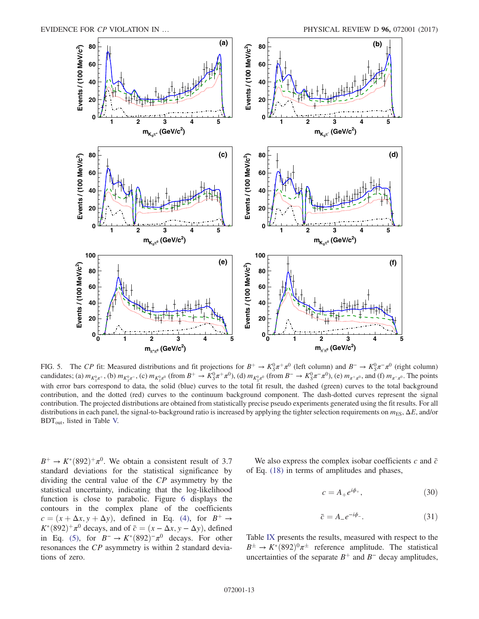<span id="page-12-0"></span>

FIG. 5. The CP fit: Measured distributions and fit projections for  $B^+ \to K_S^0 \pi^+ \pi^0$  (left column) and  $B^- \to K_S^0 \pi^- \pi^0$  (right column) candidates; (a)  $m_{K_S^0\pi^+}$ , (b)  $m_{K_S^0\pi^-}$ , (c)  $m_{K_S^0\pi^0}$  (from  $B^+ \to K_S^0\pi^+\pi^0$ ), (d)  $m_{K_S^0\pi^0}$  (from  $B^- \to K_S^0\pi^-\pi^0$ ), (e)  $m_{\pi^+\pi^0}$ , and (f)  $m_{\pi^-\pi^0}$ . The points with error bars correspond to data, the solid (blue) curves to the total fit result, the dashed (green) curves to the total background contribution, and the dotted (red) curves to the continuum background component. The dash-dotted curves represent the signal contribution. The projected distributions are obtained from statistically precise pseudo experiments generated using the fit results. For all distributions in each panel, the signal-to-background ratio is increased by applying the tighter selection requirements on  $m_{ES}$ ,  $\Delta E$ , and/or BDTout, listed in Table [V.](#page-11-0)

 $B^+ \to K^*(892)^+ \pi^0$ . We obtain a consistent result of 3.7 standard deviations for the statistical significance by dividing the central value of the CP asymmetry by the statistical uncertainty, indicating that the log-likelihood function is close to parabolic. Figure [6](#page-13-1) displays the contours in the complex plane of the coefficients  $c = (x + \Delta x, y + \Delta y)$ , defined in Eq. [\(4\)](#page-3-3), for  $B^+ \rightarrow$  $K^*(892)^+\pi^0$  decays, and of  $\bar{c}=(x-\Delta x, y-\Delta y)$ , defined in Eq. [\(5\),](#page-3-4) for  $B^- \to K^*(892)^-\pi^0$  decays. For other resonances the CP asymmetry is within 2 standard deviations of zero.

We also express the complex isobar coefficients c and  $\bar{c}$ of Eq. [\(18\)](#page-5-2) in terms of amplitudes and phases,

$$
c = A_+ e^{i\phi_+},\tag{30}
$$

$$
\bar{c} = A_- e^{-i\phi_-}.\tag{31}
$$

Table [IX](#page-13-2) presents the results, measured with respect to the  $B^{\pm} \rightarrow K^{*}(892)^{0}\pi^{\pm}$  reference amplitude. The statistical uncertainties of the separate  $B^+$  and  $B^-$  decay amplitudes,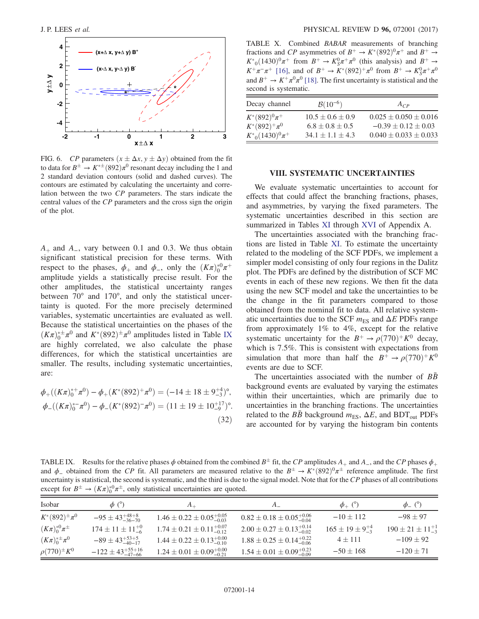<span id="page-13-1"></span>

FIG. 6. CP parameters  $(x \pm \Delta x, y \pm \Delta y)$  obtained from the fit to data for  $B^{\pm} \to K^{*\pm}(892)\pi^0$  resonant decay including the 1 and 2 standard deviation contours (solid and dashed curves). The contours are estimated by calculating the uncertainty and correlation between the two CP parameters. The stars indicate the central values of the CP parameters and the cross sign the origin of the plot.

 $A<sub>+</sub>$  and  $A<sub>-</sub>$ , vary between 0.1 and 0.3. We thus obtain significant statistical precision for these terms. With respect to the phases,  $\phi_+$  and  $\phi_-$ , only the  $(K\pi)_0^{*0}\pi^+$ amplitude yields a statistically precise result. For the other amplitudes, the statistical uncertainty ranges between 70° and 170°, and only the statistical uncertainty is quoted. For the more precisely determined variables, systematic uncertainties are evaluated as well. Because the statistical uncertainties on the phases of the  $(K\pi)_0^{* \pm} \pi^0$  and  $K^*(892)^\pm \pi^0$  amplitudes listed in Table [IX](#page-13-2) are highly correlated, we also calculate the phase differences, for which the statistical uncertainties are smaller. The results, including systematic uncertainties, are:

$$
\phi_{+}((K\pi)^{*+}_{0}\pi^{0}) - \phi_{+}(K^{*}(892)^{+}\pi^{0}) = (-14 \pm 18 \pm 9^{+4}_{-3})^{\circ},
$$
  

$$
\phi_{-}((K\pi)^{*}_{0}\pi^{0}) - \phi_{-}(K^{*}(892)^{-}\pi^{0}) = (11 \pm 19 \pm 10^{+17}_{-9})^{\circ}.
$$
  
(32)

<span id="page-13-3"></span>TABLE X. Combined BABAR measurements of branching fractions and CP asymmetries of  $B^+ \to K^*(892)^0 \pi^+$  and  $B^+ \to$  $K^*_{0}(1430)^0\pi^+$  from  $B^+ \to K_S^0\pi^+\pi^0$  (this analysis) and  $B^+ \to$  $K^+\pi^-\pi^+$  [\[16\]](#page-19-9), and of  $B^+ \to K^*(892)^+\pi^0$  from  $B^+ \to K_S^0\pi^+\pi^0$ and  $B^+ \to K^+\pi^0\pi^0$  [\[18\].](#page-19-11) The first uncertainty is statistical and the second is systematic.

| Decay channel                            | $B(10^{-6})$                                    | $A_{CP}$                                                 |
|------------------------------------------|-------------------------------------------------|----------------------------------------------------------|
| $K^*(892)^0 \pi^+$<br>$K^*(892)^+ \pi^0$ | $10.5 \pm 0.6 \pm 0.9$<br>$6.8 \pm 0.8 \pm 0.5$ | $0.025 \pm 0.050 \pm 0.016$<br>$-0.39 \pm 0.12 \pm 0.03$ |
| $K^*_{0}(1430)^0\pi^+$                   | $34.1 \pm 1.1 \pm 4.3$                          | $0.040 \pm 0.033 \pm 0.033$                              |

### VIII. SYSTEMATIC UNCERTAINTIES

<span id="page-13-0"></span>We evaluate systematic uncertainties to account for effects that could affect the branching fractions, phases, and asymmetries, by varying the fixed parameters. The systematic uncertainties described in this section are summarized in Tables [XI](#page-16-0) through [XVI](#page-19-13) of Appendix A.

The uncertainties associated with the branching fractions are listed in Table [XI.](#page-16-0) To estimate the uncertainty related to the modeling of the SCF PDFs, we implement a simpler model consisting of only four regions in the Dalitz plot. The PDFs are defined by the distribution of SCF MC events in each of these new regions. We then fit the data using the new SCF model and take the uncertainties to be the change in the fit parameters compared to those obtained from the nominal fit to data. All relative systematic uncertainties due to the SCF  $m_{ES}$  and  $\Delta E$  PDFs range from approximately 1% to 4%, except for the relative systematic uncertainty for the  $B^+ \rightarrow \rho(770)^+ K^0$  decay, which is 7.5%. This is consistent with expectations from simulation that more than half the  $B^+ \rightarrow \rho(770)^+ K^0$ events are due to SCF.

The uncertainties associated with the number of  $B\bar{B}$ background events are evaluated by varying the estimates within their uncertainties, which are primarily due to uncertainties in the branching fractions. The uncertainties related to the  $B\bar{B}$  background  $m_{ES}$ ,  $\Delta E$ , and BDT<sub>out</sub> PDFs are accounted for by varying the histogram bin contents

<span id="page-13-2"></span>TABLE IX. Results for the relative phases  $\phi$  obtained from the combined  $B^{\pm}$  fit, the CP amplitudes  $A_{+}$  and  $A_{-}$ , and the CP phases  $\phi_{+}$ and  $\phi_{-}$  obtained from the CP fit. All parameters are measured relative to the  $B^{\pm} \to K^{*}(892)^{0} \pi^{\pm}$  reference amplitude. The first uncertainty is statistical, the second is systematic, and the third is due to the signal model. Note that for the CP phases of all contributions except for  $B^{\pm} \to (K\pi)_0^{\ast 0} \pi^{\pm}$ , only statistical uncertainties are quoted.

| Isobar                       | $\phi$ (°)                      | $A_\perp$                                | A                                        | $\phi_+$ (°)                 | $\phi$ <sub>-</sub> $(°)$     |
|------------------------------|---------------------------------|------------------------------------------|------------------------------------------|------------------------------|-------------------------------|
| $K^*(892)^{\pm} \pi^0$       | $-95 \pm 43^{+48+8}_{-36-70}$   | $1.46 \pm 0.22 \pm 0.05_{-0.03}^{+0.05}$ | $0.82 \pm 0.18 \pm 0.05^{+0.06}_{-0.04}$ | $-10 \pm 112$                | $-98 \pm 97$                  |
| $(K\pi)^{*0}_{0}\pi^{\pm}$   | $174 \pm 11 \pm 11^{+0}_{-6}$   | $1.74 \pm 0.21 \pm 0.11_{-0.12}^{+0.07}$ | $2.00 \pm 0.27 \pm 0.13_{-0.02}^{+0.14}$ | $165 \pm 19 \pm 9^{+4}_{-3}$ | $190 \pm 21 \pm 11^{+1}_{-3}$ |
| $(K\pi)^{* \pm}_{0} \pi^{0}$ | $-89 \pm 43_{-40-17}^{+53+5}$   | $1.44 \pm 0.22 \pm 0.13_{-0.10}^{+0.00}$ | $1.88 \pm 0.25 \pm 0.14^{+0.22}_{-0.06}$ | $4 \pm 111$                  | $-109 \pm 92$                 |
| $\rho(770)^{\pm} K^0$        | $-122 \pm 43_{-47-66}^{+55+16}$ | $1.24 \pm 0.01 \pm 0.09_{-0.21}^{+0.00}$ | $1.54 \pm 0.01 \pm 0.09_{-0.09}^{+0.23}$ | $-50 \pm 168$                | $-120 \pm 71$                 |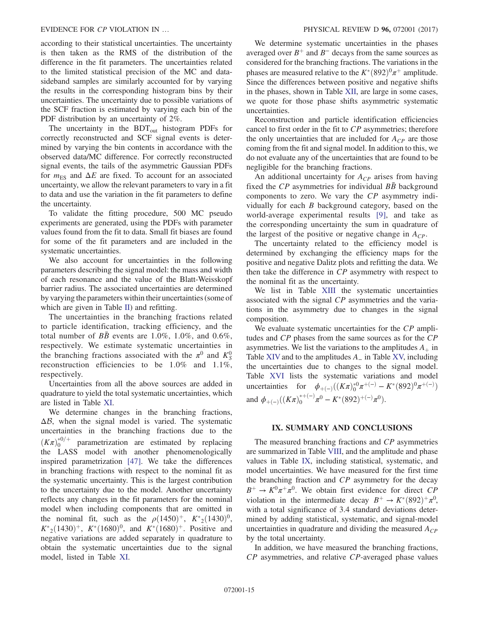according to their statistical uncertainties. The uncertainty is then taken as the RMS of the distribution of the difference in the fit parameters. The uncertainties related to the limited statistical precision of the MC and datasideband samples are similarly accounted for by varying the results in the corresponding histogram bins by their uncertainties. The uncertainty due to possible variations of the SCF fraction is estimated by varying each bin of the PDF distribution by an uncertainty of 2%.

The uncertainty in the  $BDT_{out}$  histogram PDFs for correctly reconstructed and SCF signal events is determined by varying the bin contents in accordance with the observed data/MC difference. For correctly reconstructed signal events, the tails of the asymmetric Gaussian PDFs for  $m_{ES}$  and  $\Delta E$  are fixed. To account for an associated uncertainty, we allow the relevant parameters to vary in a fit to data and use the variation in the fit parameters to define the uncertainty.

To validate the fitting procedure, 500 MC pseudo experiments are generated, using the PDFs with parameter values found from the fit to data. Small fit biases are found for some of the fit parameters and are included in the systematic uncertainties.

We also account for uncertainties in the following parameters describing the signal model: the mass and width of each resonance and the value of the Blatt-Weisskopf barrier radius. The associated uncertainties are determined by varying the parameters within their uncertainties (some of which are given in Table [II](#page-4-1)) and refitting.

The uncertainties in the branching fractions related to particle identification, tracking efficiency, and the total number of BB events are  $1.0\%$ ,  $1.0\%$ , and  $0.6\%$ , respectively. We estimate systematic uncertainties in the branching fractions associated with the  $\pi^0$  and  $K^0_S$ reconstruction efficiencies to be 1.0% and 1.1%, respectively.

Uncertainties from all the above sources are added in quadrature to yield the total systematic uncertainties, which are listed in Table [XI](#page-16-0).

We determine changes in the branching fractions,  $\Delta \mathcal{B}$ , when the signal model is varied. The systematic uncertainties in the branching fractions due to the  $(K\pi)_0^{*0/+}$  parametrization are estimated by replacing the LASS model with another phenomenologically inspired parametrization [\[47\]](#page-20-20). We take the differences in branching fractions with respect to the nominal fit as the systematic uncertainty. This is the largest contribution to the uncertainty due to the model. Another uncertainty reflects any changes in the fit parameters for the nominal model when including components that are omitted in the nominal fit, such as the  $\rho(1450)^+$ ,  $K^*_{2}(1430)^0$ ,  $K^*_{2}(1430)^+$ ,  $K^*(1680)^0$ , and  $K^*(1680)^+$ . Positive and negative variations are added separately in quadrature to obtain the systematic uncertainties due to the signal model, listed in Table [XI.](#page-16-0)

We determine systematic uncertainties in the phases averaged over  $B^+$  and  $B^-$  decays from the same sources as considered for the branching fractions. The variations in the phases are measured relative to the  $K^*(892)^0\pi^+$  amplitude. Since the differences between positive and negative shifts in the phases, shown in Table [XII,](#page-17-0) are large in some cases, we quote for those phase shifts asymmetric systematic uncertainties.

Reconstruction and particle identification efficiencies cancel to first order in the fit to CP asymmetries; therefore the only uncertainties that are included for  $A_{CP}$  are those coming from the fit and signal model. In addition to this, we do not evaluate any of the uncertainties that are found to be negligible for the branching fractions.

An additional uncertainty for  $A_{CP}$  arises from having fixed the  $CP$  asymmetries for individual  $B\bar{B}$  background components to zero. We vary the CP asymmetry individually for each B background category, based on the world-average experimental results [\[9\]](#page-19-5), and take as the corresponding uncertainty the sum in quadrature of the largest of the positive or negative change in  $A_{CP}$ .

The uncertainty related to the efficiency model is determined by exchanging the efficiency maps for the positive and negative Dalitz plots and refitting the data. We then take the difference in CP asymmetry with respect to the nominal fit as the uncertainty.

We list in Table [XIII](#page-17-1) the systematic uncertainties associated with the signal CP asymmetries and the variations in the asymmetry due to changes in the signal composition.

We evaluate systematic uncertainties for the CP amplitudes and CP phases from the same sources as for the CP asymmetries. We list the variations to the amplitudes  $A_+$  in Table [XIV](#page-18-0) and to the amplitudes  $A_$  in Table [XV,](#page-18-1) including the uncertainties due to changes to the signal model. Table [XVI](#page-19-13) lists the systematic variations and model uncertainties for  $\phi_{+(-)}((K\pi)_0^{*0}\pi^{+(-)} - K^*(892)^0\pi^{+(-)})$ and  $\phi_{+(-)}((K\pi)_0^{*+(-)}\pi^0 - K^*(892)^{+(-)}\pi^0).$ 

### IX. SUMMARY AND CONCLUSIONS

<span id="page-14-0"></span>The measured branching fractions and CP asymmetries are summarized in Table [VIII,](#page-11-3) and the amplitude and phase values in Table [IX,](#page-13-2) including statistical, systematic, and model uncertainties. We have measured for the first time the branching fraction and CP asymmetry for the decay  $B^+ \to K^0 \pi^+ \pi^0$ . We obtain first evidence for direct CP violation in the intermediate decay  $B^+ \to K^*(892)^+ \pi^0$ , with a total significance of 3.4 standard deviations determined by adding statistical, systematic, and signal-model uncertainties in quadrature and dividing the measured  $A_{CP}$ by the total uncertainty.

In addition, we have measured the branching fractions, CP asymmetries, and relative CP-averaged phase values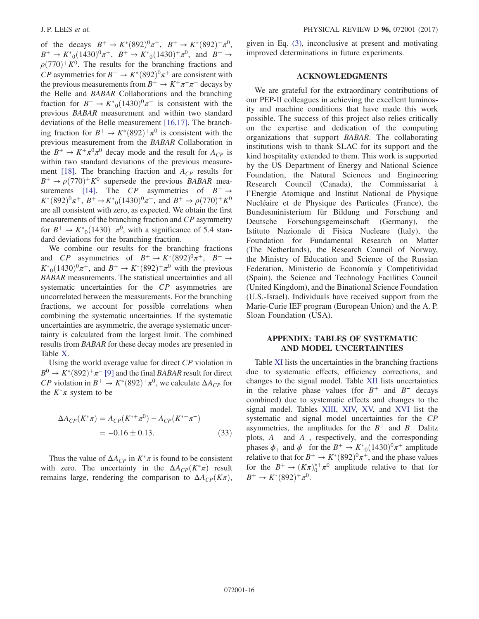of the decays  $B^+ \to K^*(892)^0 \pi^+, B^+ \to K^*(892)^+ \pi^0$ .  $B^+ \to K^*_{0}(1430)^0 \pi^+, B^+ \to K^*_{0}(1430)^+ \pi^0$ , and  $B^+ \to$  $\rho$ (770)<sup>+</sup>K<sup>0</sup>. The results for the branching fractions and CP asymmetries for  $B^+ \to K^*(892)^0 \pi^+$  are consistent with the previous measurements from  $B^+ \to K^+\pi^-\pi^+$  decays by the Belle and BABAR Collaborations and the branching fraction for  $B^+ \to K^*_{0}(1430)^0 \pi^+$  is consistent with the previous BABAR measurement and within two standard deviations of the Belle measurement [\[16,17\].](#page-19-9) The branching fraction for  $B^+ \to K^*(892)^+ \pi^0$  is consistent with the previous measurement from the BABAR Collaboration in the  $B^+ \to K^+\pi^0\pi^0$  decay mode and the result for  $A_{CP}$  is within two standard deviations of the previous measure-ment [\[18\]](#page-19-11). The branching fraction and  $A_{CP}$  results for  $B^+ \rightarrow \rho(770)^+ K^0$  supersede the previous BABAR mea-surements [\[14\]](#page-19-7). The CP asymmetries of  $B^+ \rightarrow$  $K^*(892)^0\pi^+, B^+ \to K^*_{0}(1430)^0\pi^+, \text{ and } B^+ \to \rho(770)^+K^0$ are all consistent with zero, as expected. We obtain the first measurements of the branching fraction and CP asymmetry for  $B^+ \to K^*_{0}(1430)^+\pi^0$ , with a significance of 5.4 standard deviations for the branching fraction.

We combine our results for the branching fractions and CP asymmetries of  $B^+ \to K^*(892)^0 \pi^+$ ,  $B^+ \to$  $K^*_{0}(1430)^{0}\pi^{+}$ , and  $B^+ \to K^*(892)^{+}\pi^{0}$  with the previous BABAR measurements. The statistical uncertainties and all systematic uncertainties for the CP asymmetries are uncorrelated between the measurements. For the branching fractions, we account for possible correlations when combining the systematic uncertainties. If the systematic uncertainties are asymmetric, the average systematic uncertainty is calculated from the largest limit. The combined results from BABAR for these decay modes are presented in Table [X](#page-13-3).

Using the world average value for direct CP violation in  $B^0 \to K^*(892)^+\pi^-$  [\[9\]](#page-19-5) and the final BABAR result for direct  $CP$  violation in  $B^+ \to K^*(892)^+ \pi^0$ , we calculate  $\Delta A_{CP}$  for the  $K^*\pi$  system to be

$$
\Delta A_{CP}(K^*\pi) = A_{CP}(K^{*+}\pi^0) - A_{CP}(K^{*+}\pi^-)
$$
  
= -0.16 ± 0.13. (33)

Thus the value of  $\Delta A_{CP}$  in  $K^*\pi$  is found to be consistent with zero. The uncertainty in the  $\Delta A_{CP}(K^*\pi)$  result remains large, rendering the comparison to  $\Delta A_{CP}(K\pi)$ , given in Eq. [\(3\),](#page-3-5) inconclusive at present and motivating improved determinations in future experiments.

# ACKNOWLEDGMENTS

We are grateful for the extraordinary contributions of our PEP-II colleagues in achieving the excellent luminosity and machine conditions that have made this work possible. The success of this project also relies critically on the expertise and dedication of the computing organizations that support BABAR. The collaborating institutions wish to thank SLAC for its support and the kind hospitality extended to them. This work is supported by the US Department of Energy and National Science Foundation, the Natural Sciences and Engineering Research Council (Canada), the Commissariat à l'Energie Atomique and Institut National de Physique Nucléaire et de Physique des Particules (France), the Bundesministerium für Bildung und Forschung and Deutsche Forschungsgemeinschaft (Germany), the Istituto Nazionale di Fisica Nucleare (Italy), the Foundation for Fundamental Research on Matter (The Netherlands), the Research Council of Norway, the Ministry of Education and Science of the Russian Federation, Ministerio de Economía y Competitividad (Spain), the Science and Technology Facilities Council (United Kingdom), and the Binational Science Foundation (U.S.-Israel). Individuals have received support from the Marie-Curie IEF program (European Union) and the A. P. Sloan Foundation (USA).

# APPENDIX: TABLES OF SYSTEMATIC AND MODEL UNCERTAINTIES

Table [XI](#page-16-0) lists the uncertainties in the branching fractions due to systematic effects, efficiency corrections, and changes to the signal model. Table [XII](#page-17-0) lists uncertainties in the relative phase values (for  $B^+$  and  $B^-$  decays combined) due to systematic effects and changes to the signal model. Tables [XIII](#page-17-1), [XIV,](#page-18-0) [XV,](#page-18-1) and [XVI](#page-19-13) list the systematic and signal model uncertainties for the CP asymmetries, the amplitudes for the  $B^+$  and  $B^-$  Dalitz plots,  $A_+$  and  $A_-$ , respectively, and the corresponding phases  $\phi_+$  and  $\phi_-$  for the  $B^+ \to K^*_{0}(1430)^0 \pi^+$  amplitude relative to that for  $B^+ \to K^*(892)^0 \pi^+$ , and the phase values for the  $B^+ \to (K_{\pi})_0^{*+} \pi^0$  amplitude relative to that for  $B^+ \to K^*(892)^+ \pi^0$ .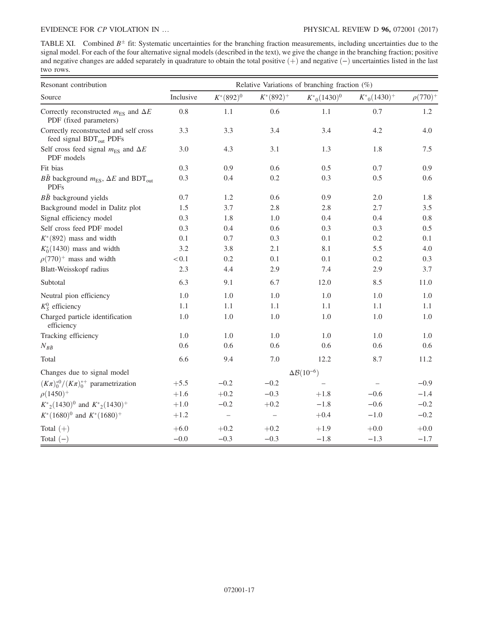<span id="page-16-0"></span>TABLE XI. Combined  $B^{\pm}$  fit: Systematic uncertainties for the branching fraction measurements, including uncertainties due to the signal model. For each of the four alternative signal models (described in the text), we give the change in the branching fraction; positive and negative changes are added separately in quadrature to obtain the total positive  $(+)$  and negative  $(-)$  uncertainties listed in the last two rows.

| Resonant contribution                                                             | Relative Variations of branching fraction (%) |                          |                   |                              |                   |                 |  |
|-----------------------------------------------------------------------------------|-----------------------------------------------|--------------------------|-------------------|------------------------------|-------------------|-----------------|--|
| Source                                                                            | Inclusive                                     | $K^*(892)^0$             | $K^*(892)^+$      | $K^*_{0}(1430)^0$            | $K^*_{0}(1430)^+$ | $\rho(770)^{+}$ |  |
| Correctly reconstructed $m_{\text{ES}}$ and $\Delta E$<br>PDF (fixed parameters)  | 0.8                                           | 1.1                      | 0.6               | 1.1                          | 0.7               | 1.2             |  |
| Correctly reconstructed and self cross<br>feed signal BDT <sub>out</sub> PDFs     | 3.3                                           | 3.3                      | 3.4               | 3.4                          | 4.2               | 4.0             |  |
| Self cross feed signal $m_{\text{ES}}$ and $\Delta E$<br>PDF models               | 3.0                                           | 4.3                      | 3.1               | 1.3                          | 1.8               | $7.5\,$         |  |
| Fit bias                                                                          | 0.3                                           | 0.9                      | 0.6               | 0.5                          | 0.7               | 0.9             |  |
| $B\bar{B}$ background $m_{ES}$ , $\Delta E$ and BDT <sub>out</sub><br><b>PDFs</b> | 0.3                                           | 0.4                      | 0.2               | 0.3                          | 0.5               | 0.6             |  |
| $B\bar{B}$ background yields                                                      | 0.7                                           | 1.2                      | 0.6               | 0.9                          | 2.0               | 1.8             |  |
| Background model in Dalitz plot                                                   | 1.5                                           | 3.7                      | 2.8               | 2.8                          | 2.7               | 3.5             |  |
| Signal efficiency model                                                           | 0.3                                           | 1.8                      | 1.0               | 0.4                          | 0.4               | $0.8\,$         |  |
| Self cross feed PDF model                                                         | 0.3                                           | 0.4                      | 0.6               | 0.3                          | 0.3               | 0.5             |  |
| $K^*(892)$ mass and width                                                         | 0.1                                           | 0.7                      | 0.3               | 0.1                          | 0.2               | 0.1             |  |
| $K_0^*(1430)$ mass and width                                                      | 3.2                                           | 3.8                      | 2.1               | 8.1                          | 5.5               | 4.0             |  |
| $\rho(770)^+$ mass and width                                                      | $<\!0.1$                                      | 0.2                      | 0.1               | 0.1                          | 0.2               | 0.3             |  |
| Blatt-Weisskopf radius                                                            | 2.3                                           | 4.4                      | 2.9               | 7.4                          | 2.9               | 3.7             |  |
| Subtotal                                                                          | 6.3                                           | 9.1                      | 6.7               | 12.0                         | 8.5               | 11.0            |  |
| Neutral pion efficiency                                                           | 1.0                                           | 1.0                      | 1.0               | 1.0                          | 1.0               | 1.0             |  |
| $K_S^0$ efficiency                                                                | 1.1                                           | 1.1                      | $1.1\,$           | 1.1                          | $1.1\,$           | 1.1             |  |
| Charged particle identification<br>efficiency                                     | 1.0                                           | 1.0                      | 1.0               | 1.0                          | 1.0               | 1.0             |  |
| Tracking efficiency                                                               | 1.0                                           | 1.0                      | 1.0               | 1.0                          | 1.0               | 1.0             |  |
| $N_{B\bar{B}}$                                                                    | 0.6                                           | 0.6                      | 0.6               | 0.6                          | 0.6               | 0.6             |  |
| Total                                                                             | 6.6                                           | 9.4                      | 7.0               | 12.2                         | 8.7               | 11.2            |  |
| Changes due to signal model                                                       |                                               |                          |                   | $\Delta\mathcal{B}(10^{-6})$ |                   |                 |  |
| $(K\pi)_0^{*0}/(K\pi)_0^{*+}$ parametrization                                     | $+5.5$                                        | $-0.2$                   | $-0.2$            |                              |                   | $-0.9$          |  |
| $\rho(1450)^{+}$                                                                  | $+1.6$                                        | $+0.2$                   | $-0.3$            | $+1.8$                       | $-0.6$            | $-1.4$          |  |
| $K^*_{2}(1430)^0$ and $K^*_{2}(1430)^+$                                           | $+1.0$                                        | $-0.2$                   | $+0.2$            | $-1.8$                       | $-0.6$            | $-0.2$          |  |
| $K^*(1680)^0$ and $K^*(1680)^+$                                                   | $+1.2$                                        | $\overline{\phantom{0}}$ | $\qquad \qquad -$ | $+0.4$                       | $-1.0$            | $-0.2$          |  |
| Total $(+)$                                                                       | $+6.0$                                        | $+0.2$                   | $+0.2$            | $+1.9$                       | $+0.0$            | $+0.0$          |  |
| Total $(-)$                                                                       | $-0.0$                                        | $-0.3$                   | $-0.3$            | $-1.8$                       | $-1.3$            | $-1.7$          |  |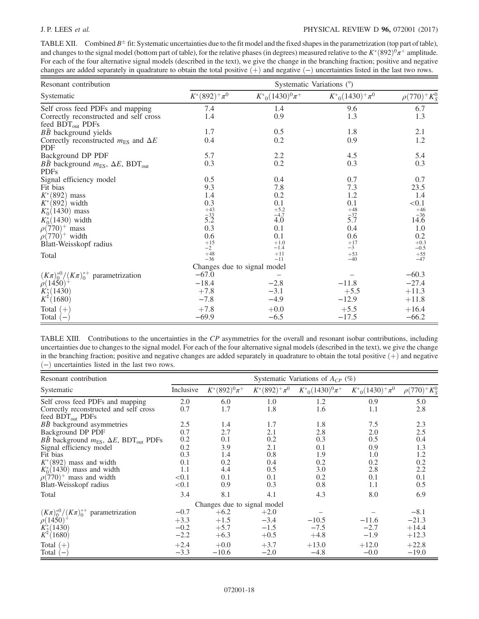# J. P. LEES et al. PHYSICAL REVIEW D 96, 072001 (2017)

<span id="page-17-0"></span>TABLE XII. Combined  $B^{\pm}$  fit: Systematic uncertainties due to the fit model and the fixed shapes in the parametrization (top part of table), and changes to the signal model (bottom part of table), for the relative phases (in degrees) measured relative to the  $K^*(892)^0\pi^+$  amplitude. For each of the four alternative signal models (described in the text), we give the change in the branching fraction; positive and negative changes are added separately in quadrature to obtain the total positive  $(+)$  and negative  $(-)$  uncertainties listed in the last two rows.

| Resonant contribution                                           | Systematic Variations (°)   |                              |                        |                    |  |
|-----------------------------------------------------------------|-----------------------------|------------------------------|------------------------|--------------------|--|
| Systematic                                                      | $K^*(892)^+\pi^0$           | $K_{0}^{*}(1430)^{0}\pi^{+}$ | $K^*_{0}(1430)^+\pi^0$ | $\rho(770)^+K_S^0$ |  |
| Self cross feed PDFs and mapping                                | 7.4                         | 1.4                          | 9.6                    | 6.7                |  |
| Correctly reconstructed and self cross                          | 1.4                         | 0.9                          | 1.3                    | 1.3                |  |
| feed $BDT_{out}$ PDFs                                           |                             |                              |                        |                    |  |
| $B\bar{B}$ background yields                                    | 1.7                         | 0.5                          | 1.8                    | 2.1                |  |
| Correctly reconstructed $m_{FS}$ and $\Delta E$<br><b>PDF</b>   | 0.4                         | 0.2                          | 0.9                    | 1.2                |  |
| Background DP PDF                                               | 5.7                         | 2.2                          | 4.5                    | 5.4                |  |
| <i>BB</i> background $m_{ES}$ , $\Delta E$ , BDT <sub>out</sub> | 0.3                         | 0.2                          | 0.3                    | 0.3                |  |
| <b>PDFs</b>                                                     |                             |                              |                        |                    |  |
| Signal efficiency model                                         | 0.5                         | 0.4                          | 0.7                    | 0.7                |  |
| Fit bias                                                        | 9.3                         | 7.8                          | 7.3                    | 23.5               |  |
| $K^*(892)$ mass                                                 | 1.4                         | 0.2                          | 1.2                    | 1.4                |  |
| $K^*(892)$ width                                                | 0.3                         | 0.1                          | 0.1                    | < 0.1              |  |
| $K_0^*(1430)$ mass                                              |                             | $+5.2$                       |                        | $+46$              |  |
| $K_0^*(1430)$ width                                             | $+43$<br>$-33$<br>$5.2$     | $\frac{-4.7}{4.0}$           | $+48$<br>$-37$<br>5.7  | 14.6               |  |
| $\rho(770)^+$ mass                                              | 0.3                         | 0.1                          | 0.4                    | 1.0                |  |
| $\rho(770)^+$ width                                             | 0.6                         | 0.1                          | 0.6                    | 0.2                |  |
| Blatt-Weisskopf radius                                          | $^{+15}_{-2}$               | $+1.0$<br>$-1.4$             | $^{+17}_{-3}$          | $+0.3$<br>$-0.5$   |  |
| Total                                                           | $+48$                       | $+11$                        | $+53$                  | $+55$              |  |
|                                                                 | $-36$                       | $-11$                        | $-40$                  | $-47$              |  |
|                                                                 | Changes due to signal model |                              |                        |                    |  |
| $(K\pi)_0^{*0}/(K\pi)_0^{*+}$ parametrization                   | $-67.0$                     |                              |                        | $-60.3$            |  |
| $\rho(1450)^{+}$                                                | $-18.4$                     | $-2.8$                       | $-11.8$                | $-27.4$            |  |
| $K_2^*(1430)$                                                   | $+7.8$                      | $-3.1$                       | $+5.5$                 | $+11.3$            |  |
| $K^*(1680)$                                                     | $-7.8$                      | $-4.9$                       | $-12.9$                | $+11.8$            |  |
| Total $(+)$                                                     | $+7.8$                      | $+0.0$                       | $+5.5$                 | $+16.4$            |  |
| Total $(-)$                                                     | $-69.9$                     | $-6.5$                       | $-17.5$                | $-66.2$            |  |

<span id="page-17-1"></span>

| TABLE XIII. Contributions to the uncertainties in the CP asymmetries for the overall and resonant isobar contributions, including            |
|----------------------------------------------------------------------------------------------------------------------------------------------|
| uncertainties due to changes to the signal model. For each of the four alternative signal models (described in the text), we give the change |
| in the branching fraction; positive and negative changes are added separately in quadrature to obtain the total positive $(+)$ and negative  |
| $(-)$ uncertainties listed in the last two rows.                                                                                             |

| Resonant contribution                                                        | Systematic Variations of $A_{CP}$ (%) |                   |                    |                              |                        |                    |
|------------------------------------------------------------------------------|---------------------------------------|-------------------|--------------------|------------------------------|------------------------|--------------------|
| Systematic                                                                   | Inclusive                             | $K^*(892)^0\pi^+$ | $K^*(892)^+ \pi^0$ | $K_{0}^{*}(1430)^{0}\pi^{+}$ | $K^*_{0}(1430)^+\pi^0$ | $\rho(770)^+K_S^0$ |
| Self cross feed PDFs and mapping                                             | 2.0                                   | 6.0               | 1.0                | 1.2                          | 0.9                    | 5.0                |
| Correctly reconstructed and self cross<br>feed $BDT_{out}$ PDFs              | 0.7                                   | 1.7               | 1.8                | 1.6                          | 1.1                    | 2.8                |
| $B\bar{B}$ background asymmetries                                            | 2.5                                   | 1.4               | 1.7                | 1.8                          | 7.5                    | 2.3                |
| Background DP PDF                                                            | 0.7                                   | 2.7               | 2.1                | 2.8                          | 2.0                    | 2.5                |
| $B\bar{B}$ background $m_{\text{ES}}$ , $\Delta E$ , BDT <sub>out</sub> PDFs | 0.2                                   | 0.1               | 0.2                | 0.3                          | 0.5                    | 0.4                |
| Signal efficiency model                                                      | 0.2                                   | 3.9               | 2.1                | 0.1                          | 0.9                    | 1.3                |
| Fit bias                                                                     | 0.3                                   | 1.4               | 0.8                | 1.9                          | 1.0                    | 1.2                |
| $K^*(892)$ mass and width                                                    | 0.1                                   | 0.2               | 0.4                | 0.2                          | 0.2                    | 0.2                |
| $K_0^*(1430)$ mass and width                                                 | 1.1                                   | 4.4               | 0.5                | 3.0                          | 2.8                    | 2.2                |
| $\rho(770)^+$ mass and width                                                 | < 0.1                                 | 0.1               | 0.1                | 0.2                          | 0.1                    | 0.1                |
| Blatt-Weisskopf radius                                                       | < 0.1                                 | 0.9               | 0.3                | 0.8                          | 1.1                    | 0.5                |
| Total                                                                        | 3.4                                   | 8.1               | 4.1                | 4.3                          | 8.0                    | 6.9                |
| Changes due to signal model                                                  |                                       |                   |                    |                              |                        |                    |
| $(K\pi)_{0}^{*0}/(K\pi)_{0}^{*+}$ parametrization                            | $-0.7$                                | $+6.2$            | $+2.0$             |                              |                        | $-8.1$             |
| $\rho(1450)^{+}$                                                             | $+3.3$                                | $+1.5$            | $-3.4$             | $-10.5$                      | $-11.6$                | $-21.3$            |
| $K_2^*(1430)$                                                                | $-0.2$                                | $+5.7$            | $-1.5$             | $-7.5$                       | $-2.7$                 | $+14.4$            |
| $K^*(1680)$                                                                  | $-2.2$                                | $+6.3$            | $+0.5$             | $+4.8$                       | $-1.9$                 | $+12.3$            |
| Total $(+)$                                                                  | $+2.4$                                | $+0.0$            | $+3.7$             | $+13.0$                      | $+12.0$                | $+22.8$            |
| Total<br>$\overline{\phantom{0}}$                                            | $-3.3$                                | $-10.6$           | $-2.0$             | $-4.8$                       | $-0.0$                 | $-19.0$            |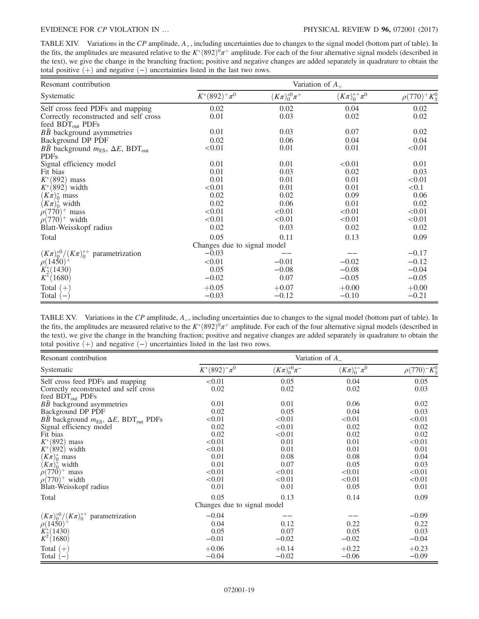<span id="page-18-0"></span>TABLE XIV. Variations in the  $\mathbb{CP}$  amplitude,  $A_+$ , including uncertainties due to changes to the signal model (bottom part of table). In the fits, the amplitudes are measured relative to the  $K^*(892)^0\pi^+$  amplitude. For each of the four alternative signal models (described in the text), we give the change in the branching fraction; positive and negative changes are added separately in quadrature to obtain the total positive  $(+)$  and negative  $(-)$  uncertainties listed in the last two rows.

| Resonant contribution                                                                  | Variation of $A_{+}$                |                      |                      |                    |  |
|----------------------------------------------------------------------------------------|-------------------------------------|----------------------|----------------------|--------------------|--|
| Systematic                                                                             | $K^*(892)^+ \pi^0$                  | $(K\pi)_0^{*0}\pi^+$ | $(K\pi)_0^{*+}\pi^0$ | $\rho(770)^+K_S^0$ |  |
| Self cross feed PDFs and mapping                                                       | 0.02                                | 0.02                 | 0.04                 | 0.02               |  |
| Correctly reconstructed and self cross<br>feed $BDT_{out}$ PDFs                        | 0.01                                | 0.03                 | 0.02                 | 0.02               |  |
| $B\bar{B}$ background asymmetries                                                      | 0.01                                | 0.03                 | 0.07                 | 0.02               |  |
| Background DP PDF                                                                      | 0.02                                | 0.06                 | 0.04                 | 0.04               |  |
| $B\bar{B}$ background $m_{\text{ES}}$ , $\Delta E$ , BDT <sub>out</sub><br><b>PDFs</b> | < 0.01                              | 0.01                 | 0.01                 | < 0.01             |  |
| Signal efficiency model                                                                | 0.01                                | 0.01                 | < 0.01               | 0.01               |  |
| Fit bias                                                                               | 0.01                                | 0.03                 | 0.02                 | 0.03               |  |
| $K^*(892)$ mass                                                                        | 0.01                                | 0.01                 | 0.01                 | < 0.01             |  |
| $K^*(892)$ width                                                                       | < 0.01                              | 0.01                 | 0.01                 | < 0.1              |  |
| $(K\pi)_{0}^{*}$ mass                                                                  | 0.02                                | 0.02                 | 0.09                 | 0.06               |  |
| $(K\pi)_0^*$ width                                                                     | 0.02                                | 0.06                 | 0.01                 | 0.02               |  |
| $\rho(770)^+$ mass                                                                     | < 0.01                              | < 0.01               | < 0.01               | < 0.01             |  |
| $\rho(770)^+$ width                                                                    | < 0.01                              | < 0.01               | < 0.01               | < 0.01             |  |
| Blatt-Weisskopf radius                                                                 | 0.02                                | 0.03                 | 0.02                 | 0.02               |  |
| Total                                                                                  | 0.05<br>Changes due to signal model | 0.11                 | 0.13                 | 0.09               |  |
| $(K\pi)_0^{*0}/(K\pi)_0^{*+}$ parametrization                                          | $-0.03$                             |                      |                      | $-0.17$            |  |
| $\rho(1450)^{+}$                                                                       | < 0.01                              | $-0.01$              | $-0.02$              | $-0.12$            |  |
| $K_2^*(1430)$                                                                          | 0.05                                | $-0.08$              | $-0.08$              | $-0.04$            |  |
| $K^*(1680)$                                                                            | $-0.02$                             | 0.07                 | $-0.05$              | $-0.05$            |  |
| Total $(+)$<br>Total $(-)$                                                             | $+0.05$<br>$-0.03$                  | $+0.07$<br>$-0.12$   | $+0.00$<br>$-0.10$   | $+0.00$<br>$-0.21$ |  |

<span id="page-18-1"></span>TABLE XV. Variations in the CP amplitude, A\_, including uncertainties due to changes to the signal model (bottom part of table). In the fits, the amplitudes are measured relative to the  $K^*(892)^0\pi^+$  amplitude. For each of the four alternative signal models (described in the text), we give the change in the branching fraction; positive and negative changes are added separately in quadrature to obtain the total positive  $(+)$  and negative  $(−)$  uncertainties listed in the last two rows.

| Resonant contribution                                                       | Variation of $A_{-}$        |                          |                             |                                                      |  |
|-----------------------------------------------------------------------------|-----------------------------|--------------------------|-----------------------------|------------------------------------------------------|--|
| Systematic                                                                  | $K^*(892)^-\pi^0$           | $(K\pi)_{0}^{*0}\pi^{-}$ | $(K_{\pi})_{0}^{*-}\pi^{0}$ | $\rho(770)$ <sup>-</sup> K <sub>S</sub> <sup>0</sup> |  |
| Self cross feed PDFs and mapping                                            | < 0.01                      | 0.05                     | 0.04                        | 0.05                                                 |  |
| Correctly reconstructed and self cross                                      | 0.02                        | 0.02                     | 0.02                        | 0.03                                                 |  |
| feed BDT <sub>out</sub> PDFs                                                |                             |                          |                             |                                                      |  |
| BB background asymmetries                                                   | 0.01                        | 0.01                     | 0.06                        | 0.02                                                 |  |
| Background DP PDF                                                           | 0.02                        | 0.05                     | 0.04                        | 0.03                                                 |  |
| <i>BB</i> background $m_{\text{ES}}$ , $\Delta E$ , BDT <sub>out</sub> PDFs | < 0.01                      | < 0.01                   | < 0.01                      | < 0.01                                               |  |
| Signal efficiency model                                                     | 0.02                        | < 0.01                   | 0.02                        | 0.02                                                 |  |
| Fit bias                                                                    | 0.02                        | < 0.01                   | 0.02                        | 0.02                                                 |  |
| $K^*(892)$ mass                                                             | < 0.01                      | 0.01                     | 0.01                        | < 0.01                                               |  |
| $K^*(892)$ width                                                            | < 0.01                      | 0.01                     | 0.01                        | 0.01                                                 |  |
| $(K\pi)_0^*$ mass                                                           | 0.01                        | 0.08                     | 0.08                        | 0.04                                                 |  |
| $(K\pi)_0^*$ width                                                          | 0.01                        | 0.07                     | 0.05                        | 0.03                                                 |  |
| $\rho(770)^+$ mass                                                          | < 0.01                      | < 0.01                   | < 0.01                      | < 0.01                                               |  |
| $\rho(770)^+$ width                                                         | < 0.01                      | < 0.01                   | < 0.01                      | < 0.01                                               |  |
| Blatt-Weisskopf radius                                                      | 0.01                        | 0.01                     | 0.05                        | 0.01                                                 |  |
| Total                                                                       | 0.05                        | 0.13                     | 0.14                        | 0.09                                                 |  |
|                                                                             | Changes due to signal model |                          |                             |                                                      |  |
| $(K\pi)_{0}^{*0}/(K\pi)_{0}^{*+}$ parametrization                           | $-0.04$                     |                          |                             | $-0.09$                                              |  |
| $\rho(1450)^{+}$                                                            | 0.04                        | 0.12                     | 0.22                        | 0.22                                                 |  |
| $K_2^*(1430)$                                                               | 0.05                        | 0.07                     | 0.05                        | 0.03                                                 |  |
| $K^*(1680)$                                                                 | $-0.01$                     | $-0.02$                  | $-0.02$                     | $-0.04$                                              |  |
| Total $(+)$                                                                 | $+0.06$                     | $+0.14$                  | $+0.22$                     | $+0.23$                                              |  |
| Total<br>$\overline{ }$                                                     | $-0.04$                     | $-0.02$                  | $-0.06$                     | $-0.09$                                              |  |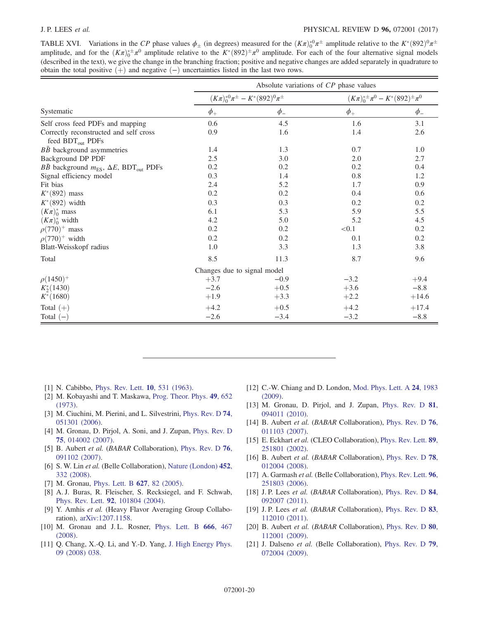### J. P. LEES et al. PHYSICAL REVIEW D 96, 072001 (2017)

<span id="page-19-13"></span>TABLE XVI. Variations in the CP phase values  $\phi_{\pm}$  (in degrees) measured for the  $(K\pi)_0^{\ast 0} \pi^{\pm}$  amplitude relative to the  $K^*(892)^0 \pi^{\pm}$ amplitude, and for the  $(K\pi)_0^{*\pm} \pi^0$  amplitude relative to the  $K^*(892)^\pm \pi^0$  amplitude. For each of the four alternative signal models (described in the text), we give the change in the branching fraction; positive and negative changes are added separately in quadrature to obtain the total positive  $(+)$  and negative  $(−)$  uncertainties listed in the last two rows.

|                                                                        | Absolute variations of CP phase values |                                                |                                            |         |  |
|------------------------------------------------------------------------|----------------------------------------|------------------------------------------------|--------------------------------------------|---------|--|
|                                                                        |                                        | $(K\pi)_0^{*0}\pi^{\pm} - K^*(892)^0\pi^{\pm}$ | $(K\pi)_0^{*\pm}\pi^0 - K^*(892)^\pm\pi^0$ |         |  |
| Systematic                                                             | $\phi_{+}$                             | $\phi$                                         | $\phi$ <sub>+</sub>                        | $\phi$  |  |
| Self cross feed PDFs and mapping                                       | 0.6                                    | 4.5                                            | 1.6                                        | 3.1     |  |
| Correctly reconstructed and self cross<br>feed BDT <sub>out</sub> PDFs | 0.9                                    | 1.6                                            | 1.4                                        | 2.6     |  |
| $B\bar{B}$ background asymmetries                                      | 1.4                                    | 1.3                                            | 0.7                                        | 1.0     |  |
| Background DP PDF                                                      | 2.5                                    | 3.0                                            | 2.0                                        | 2.7     |  |
| $B\bar{B}$ background $m_{ES}$ , $\Delta E$ , BDT <sub>out</sub> PDFs  | 0.2                                    | 0.2                                            | 0.2                                        | 0.4     |  |
| Signal efficiency model                                                | 0.3                                    | 1.4                                            | 0.8                                        | 1.2     |  |
| Fit bias                                                               | 2.4                                    | 5.2                                            | 1.7                                        | 0.9     |  |
| $K^*(892)$ mass                                                        | 0.2                                    | 0.2                                            | 0.4                                        | 0.6     |  |
| $K^*(892)$ width                                                       | 0.3                                    | 0.3                                            | 0.2                                        | 0.2     |  |
| $(K\pi)_0^*$ mass                                                      | 6.1                                    | 5.3                                            | 5.9                                        | 5.5     |  |
| $(K\pi)_0^*$ width                                                     | 4.2                                    | 5.0                                            | 5.2                                        | 4.5     |  |
| $\rho(770)^+$ mass                                                     | 0.2                                    | 0.2                                            | < 0.1                                      | 0.2     |  |
| $\rho(770)^+$ width                                                    | 0.2                                    | 0.2                                            | 0.1                                        | 0.2     |  |
| Blatt-Weisskopf radius                                                 | 1.0                                    | 3.3                                            | 1.3                                        | 3.8     |  |
| Total                                                                  | 8.5                                    | 11.3                                           | 8.7                                        | 9.6     |  |
|                                                                        | Changes due to signal model            |                                                |                                            |         |  |
| $\rho(1450)^{+}$                                                       | $+3.7$                                 | $-0.9$                                         | $-3.2$                                     | $+9.4$  |  |
| $K_2^*(1430)$                                                          | $-2.6$                                 | $+0.5$                                         | $+3.6$                                     | $-8.8$  |  |
| $K^*(1680)$                                                            | $+1.9$                                 | $+3.3$                                         | $+2.2$                                     | $+14.6$ |  |
| Total $(+)$                                                            | $+4.2$                                 | $+0.5$                                         | $+4.2$                                     | $+17.4$ |  |
| Total $(-)$                                                            | $-2.6$                                 | $-3.4$                                         | $-3.2$                                     | $-8.8$  |  |

- <span id="page-19-0"></span>[1] N. Cabibbo, [Phys. Rev. Lett.](https://doi.org/10.1103/PhysRevLett.10.531) **10**, 531 (1963).
- [2] M. Kobayashi and T. Maskawa, [Prog. Theor. Phys.](https://doi.org/10.1143/PTP.49.652) 49, 652 [\(1973\).](https://doi.org/10.1143/PTP.49.652)
- <span id="page-19-1"></span>[3] M. Ciuchini, M. Pierini, and L. Silvestrini, [Phys. Rev. D](https://doi.org/10.1103/PhysRevD.74.051301) 74, [051301 \(2006\).](https://doi.org/10.1103/PhysRevD.74.051301)
- <span id="page-19-2"></span>[4] M. Gronau, D. Pirjol, A. Soni, and J. Zupan, [Phys. Rev. D](https://doi.org/10.1103/PhysRevD.75.014002) 75[, 014002 \(2007\).](https://doi.org/10.1103/PhysRevD.75.014002)
- <span id="page-19-3"></span>[5] B. Aubert et al. (BABAR Collaboration), [Phys. Rev. D](https://doi.org/10.1103/PhysRevD.76.091102) 76, [091102 \(2007\).](https://doi.org/10.1103/PhysRevD.76.091102)
- [6] S. W. Lin et al. (Belle Collaboration), [Nature \(London\)](https://doi.org/10.1038/nature06827) 452, [332 \(2008\)](https://doi.org/10.1038/nature06827).
- <span id="page-19-4"></span>[7] M. Gronau, [Phys. Lett. B](https://doi.org/10.1016/j.physletb.2005.09.014) **627**, 82 (2005).
- [8] A. J. Buras, R. Fleischer, S. Recksiegel, and F. Schwab, Phys. Rev. Lett. 92[, 101804 \(2004\)](https://doi.org/10.1103/PhysRevLett.92.101804).
- <span id="page-19-5"></span>[9] Y. Amhis et al. (Heavy Flavor Averaging Group Collaboration), [arXiv:1207.1158.](http://arXiv.org/abs/1207.1158)
- [10] M. Gronau and J.L. Rosner, [Phys. Lett. B](https://doi.org/10.1016/j.physletb.2008.08.004) 666, 467 [\(2008\).](https://doi.org/10.1016/j.physletb.2008.08.004)
- <span id="page-19-6"></span>[11] Q. Chang, X.-Q. Li, and Y.-D. Yang, [J. High Energy Phys.](https://doi.org/10.1088/1126-6708/2008/09/038) [09 \(2008\) 038.](https://doi.org/10.1088/1126-6708/2008/09/038)
- [12] C.-W. Chiang and D. London, [Mod. Phys. Lett. A](https://doi.org/10.1142/S0217732309031429) 24, 1983 [\(2009\).](https://doi.org/10.1142/S0217732309031429)
- [13] M. Gronau, D. Pirjol, and J. Zupan, [Phys. Rev. D](https://doi.org/10.1103/PhysRevD.81.094011) 81, [094011 \(2010\).](https://doi.org/10.1103/PhysRevD.81.094011)
- <span id="page-19-7"></span>[14] B. Aubert et al. (BABAR Collaboration), [Phys. Rev. D](https://doi.org/10.1103/PhysRevD.76.011103) 76, [011103 \(2007\).](https://doi.org/10.1103/PhysRevD.76.011103)
- <span id="page-19-8"></span>[15] E. Eckhart et al. (CLEO Collaboration), [Phys. Rev. Lett.](https://doi.org/10.1103/PhysRevLett.89.251801) 89, [251801 \(2002\).](https://doi.org/10.1103/PhysRevLett.89.251801)
- <span id="page-19-9"></span>[16] B. Aubert et al. (BABAR Collaboration), [Phys. Rev. D](https://doi.org/10.1103/PhysRevD.78.012004) 78, [012004 \(2008\).](https://doi.org/10.1103/PhysRevD.78.012004)
- <span id="page-19-10"></span>[17] A. Garmash et al. (Belle Collaboration), [Phys. Rev. Lett.](https://doi.org/10.1103/PhysRevLett.96.251803) 96, [251803 \(2006\).](https://doi.org/10.1103/PhysRevLett.96.251803)
- <span id="page-19-11"></span>[18] J.P. Lees et al. (BABAR Collaboration), [Phys. Rev. D](https://doi.org/10.1103/PhysRevD.84.092007) 84, [092007 \(2011\).](https://doi.org/10.1103/PhysRevD.84.092007)
- <span id="page-19-12"></span>[19] J. P. Lees et al. (BABAR Collaboration), [Phys. Rev. D](https://doi.org/10.1103/PhysRevD.83.112010) 83, [112010 \(2011\).](https://doi.org/10.1103/PhysRevD.83.112010)
- [20] B. Aubert et al. (BABAR Collaboration), [Phys. Rev. D](https://doi.org/10.1103/PhysRevD.80.112001) 80, [112001 \(2009\).](https://doi.org/10.1103/PhysRevD.80.112001)
- [21] J. Dalseno et al. (Belle Collaboration), [Phys. Rev. D](https://doi.org/10.1103/PhysRevD.79.072004) 79, [072004 \(2009\).](https://doi.org/10.1103/PhysRevD.79.072004)